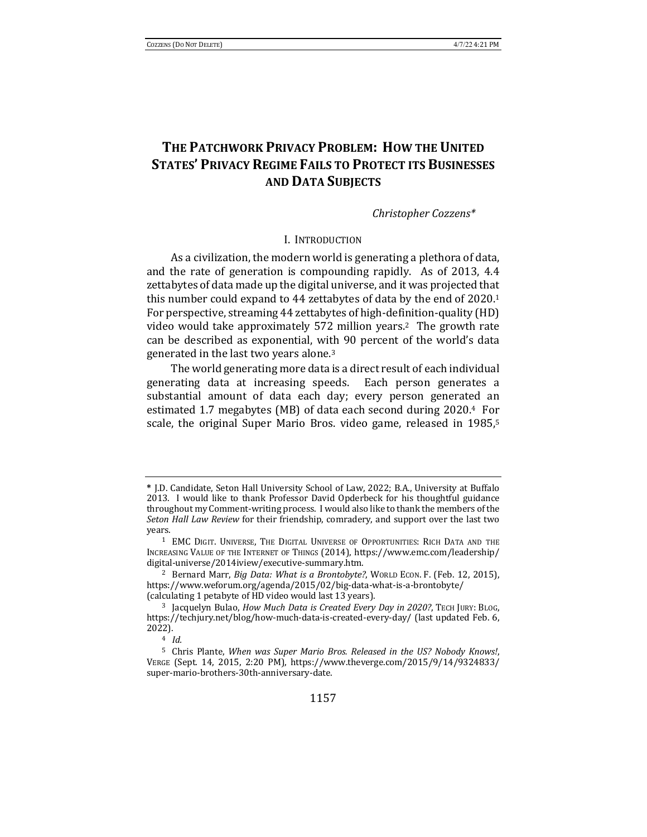# **THE PATCHWORK PRIVACY PROBLEM: HOW THE UNITED STATES' PRIVACY REGIME FAILS TO PROTECT ITS BUSINESSES AND DATA SUBJECTS**

*Christopher Cozzens\**

### I. INTRODUCTION

As a civilization, the modern world is generating a plethora of data, and the rate of generation is compounding rapidly. As of 2013, 4.4 zettabytes of data made up the digital universe, and it was projected that this number could expand to 44 zettabytes of data by the end of  $2020.1$ For perspective, streaming 44 zettabytes of high-definition-quality (HD) video would take approximately  $572$  million years.<sup>2</sup> The growth rate can be described as exponential, with 90 percent of the world's data generated in the last two years alone.<sup>3</sup>

The world generating more data is a direct result of each individual generating data at increasing speeds. Each person generates a substantial amount of data each day; every person generated an estimated 1.7 megabytes (MB) of data each second during  $2020$ .<sup>4</sup> For scale, the original Super Mario Bros. video game, released in  $1985,5$ 

**<sup>\*</sup>** J.D. Candidate, Seton Hall University School of Law, 2022; B.A., University at Buffalo 2013. I would like to thank Professor David Opderbeck for his thoughtful guidance throughout my Comment-writing process. I would also like to thank the members of the *Seton Hall Law Review* for their friendship, comradery, and support over the last two years.

<sup>&</sup>lt;sup>1</sup> EMC DIGIT. UNIVERSE, THE DIGITAL UNIVERSE OF OPPORTUNITIES: RICH DATA AND THE INCREASING VALUE OF THE INTERNET OF THINGS (2014), https://www.emc.com/leadership/ digital-universe/2014iview/executive-summary.htm.

<sup>&</sup>lt;sup>2</sup> Bernard Marr, *Big Data: What is a Brontobyte?*, WORLD ECON. F. (Feb. 12, 2015), https://www.weforum.org/agenda/2015/02/big-data-what-is-a-brontobyte/ (calculating 1 petabyte of HD video would last 13 years).

<sup>&</sup>lt;sup>3</sup> Jacquelyn Bulao, *How Much Data is Created Every Day in 2020?*, TECH JURY: BLOG, https://techjury.net/blog/how-much-data-is-created-every-day/ (last updated Feb. 6, 2022). 

<sup>4</sup> *Id.*

<sup>&</sup>lt;sup>5</sup> Chris Plante, *When was Super Mario Bros. Released in the US? Nobody Knows!,* VERGE (Sept. 14, 2015, 2:20 PM), https://www.theverge.com/2015/9/14/9324833/ super-mario-brothers-30th-anniversary-date.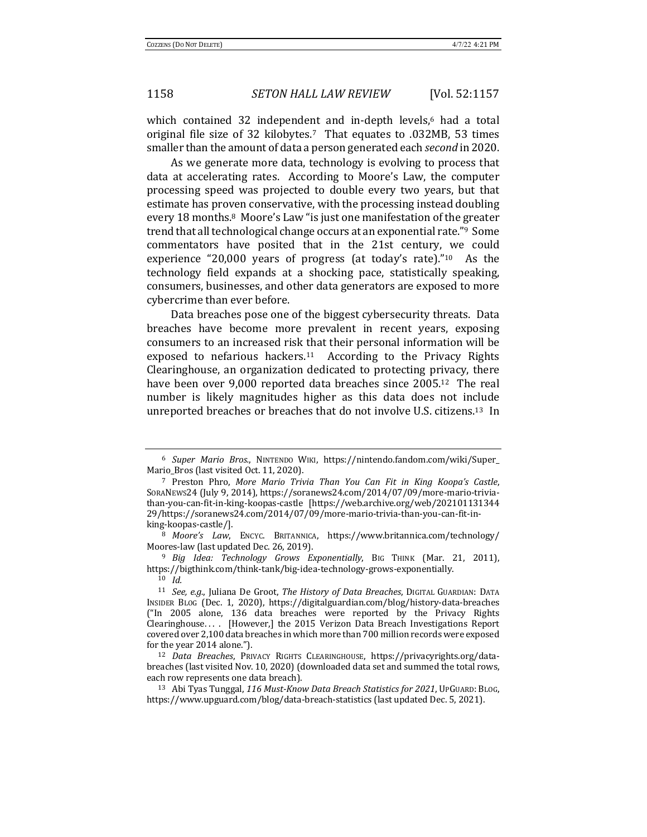which contained 32 independent and in-depth levels,<sup>6</sup> had a total original file size of 32 kilobytes.<sup>7</sup> That equates to .032MB, 53 times smaller than the amount of data a person generated each *second* in 2020.

As we generate more data, technology is evolving to process that data at accelerating rates. According to Moore's Law, the computer processing speed was projected to double every two years, but that estimate has proven conservative, with the processing instead doubling every 18 months.<sup>8</sup> Moore's Law "is just one manifestation of the greater trend that all technological change occurs at an exponential rate."<sup>9</sup> Some commentators have posited that in the 21st century, we could experience  $"20,000$  years of progress (at today's rate)."<sup>10</sup> As the technology field expands at a shocking pace, statistically speaking, consumers, businesses, and other data generators are exposed to more cybercrime than ever before.

Data breaches pose one of the biggest cybersecurity threats. Data breaches have become more prevalent in recent years, exposing consumers to an increased risk that their personal information will be exposed to nefarious hackers.<sup>11</sup> According to the Privacy Rights Clearinghouse, an organization dedicated to protecting privacy, there have been over  $9,000$  reported data breaches since 2005.<sup>12</sup> The real number is likely magnitudes higher as this data does not include unreported breaches or breaches that do not involve U.S. citizens.<sup>13</sup> In

<sup>10</sup> *Id.*

<sup>&</sup>lt;sup>6</sup> Super Mario Bros., NINTENDO WIKI, https://nintendo.fandom.com/wiki/Super\_ Mario\_Bros (last visited Oct. 11, 2020).

<sup>&</sup>lt;sup>7</sup> Preston Phro, More Mario Trivia Than You Can Fit in King Koopa's Castle, SORANEWS24 (July 9, 2014), https://soranews24.com/2014/07/09/more-mario-triviathan-you-can-fit-in-king-koopas-castle [https://web.archive.org/web/202101131344 29/https://soranews24.com/2014/07/09/more-mario-trivia-than-you-can-fit-inking-koopas-castle/].

<sup>8</sup> *Moore's Law*, ENCYC. BRITANNICA, https://www.britannica.com/technology/ Moores-law (last updated Dec. 26, 2019).

<sup>&</sup>lt;sup>9</sup> Big Idea: Technology Grows Exponentially, BIG THINK (Mar. 21, 2011), https://bigthink.com/think-tank/big-idea-technology-grows-exponentially.

<sup>&</sup>lt;sup>11</sup> *See, e.g.*, Juliana De Groot, *The History of Data Breaches*, DIGITAL GUARDIAN: DATA INSIDER BLOG (Dec. 1, 2020), https://digitalguardian.com/blog/history-data-breaches ("In 2005 alone, 136 data breaches were reported by the Privacy Rights Clearinghouse.... [However,] the 2015 Verizon Data Breach Investigations Report covered over 2,100 data breaches in which more than 700 million records were exposed for the year 2014 alone.").

<sup>12</sup> *Data Breaches*, PRIVACY RIGHTS CLEARINGHOUSE, https://privacyrights.org/databreaches (last visited Nov. 10, 2020) (downloaded data set and summed the total rows, each row represents one data breach).

<sup>&</sup>lt;sup>13</sup> Abi Tyas Tunggal, 116 Must-Know Data Breach Statistics for 2021, UPGUARD: BLOG, https://www.upguard.com/blog/data-breach-statistics (last updated Dec. 5, 2021).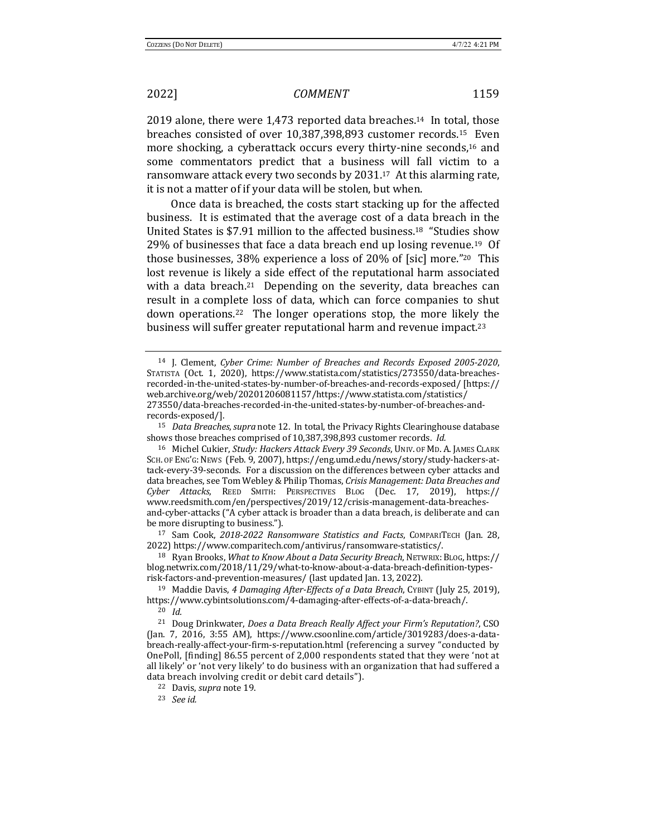2019 alone, there were 1,473 reported data breaches.<sup>14</sup> In total, those breaches consisted of over 10,387,398,893 customer records.<sup>15</sup> Even more shocking, a cyberattack occurs every thirty-nine seconds,<sup>16</sup> and some commentators predict that a business will fall victim to a ransomware attack every two seconds by  $2031<sup>17</sup>$  At this alarming rate, it is not a matter of if your data will be stolen, but when.

Once data is breached, the costs start stacking up for the affected business. It is estimated that the average cost of a data breach in the United States is \$7.91 million to the affected business.<sup>18</sup> "Studies show 29% of businesses that face a data breach end up losing revenue.<sup>19</sup> Of those businesses,  $38\%$  experience a loss of  $20\%$  of [sic] more."<sup>20</sup> This lost revenue is likely a side effect of the reputational harm associated with a data breach.<sup>21</sup> Depending on the severity, data breaches can result in a complete loss of data, which can force companies to shut down operations.<sup>22</sup> The longer operations stop, the more likely the business will suffer greater reputational harm and revenue impact.<sup>23</sup>

<sup>15</sup> Data Breaches, *supra* note 12. In total, the Privacy Rights Clearinghouse database shows those breaches comprised of 10,387,398,893 customer records. *Id.* 

16 Michel Cukier, *Study: Hackers Attack Every 39 Seconds*, UNIV. OF MD. A. JAMES CLARK SCH. OF ENG'G: NEWS (Feb. 9, 2007), https://eng.umd.edu/news/story/study-hackers-attack-every-39-seconds. For a discussion on the differences between cyber attacks and data breaches, see Tom Webley & Philip Thomas, *Crisis Management: Data Breaches and Cyber Attacks*, REED SMITH: PERSPECTIVES BLOG (Dec. 17, 2019), https:// www.reedsmith.com/en/perspectives/2019/12/crisis-management-data-breachesand-cyber-attacks ("A cyber attack is broader than a data breach, is deliberate and can be more disrupting to business.").

<sup>17</sup> Sam Cook, 2018-2022 Ransomware Statistics and Facts, COMPARITECH (Jan. 28, 2022) https://www.comparitech.com/antivirus/ransomware-statistics/.

<sup>18</sup> Ryan Brooks, *What to Know About a Data Security Breach*, NETWRIX: BLOG, https:// blog.netwrix.com/2018/11/29/what-to-know-about-a-data-breach-definition-typesrisk-factors-and-prevention-measures/ (last updated Jan. 13, 2022).

<sup>19</sup> Maddie Davis, 4 Damaging After-Effects of a Data Breach, CYBINT (July 25, 2019), https://www.cybintsolutions.com/4-damaging-after-effects-of-a-data-breach/.

<sup>20</sup> *Id.*

<sup>21</sup> Doug Drinkwater, *Does a Data Breach Really Affect your Firm's Reputation?*, CSO (Jan. 7, 2016, 3:55 AM), https://www.csoonline.com/article/3019283/does-a-databreach-really-affect-your-firm-s-reputation.html (referencing a survey "conducted by OnePoll, [finding] 86.55 percent of 2,000 respondents stated that they were 'not at all likely' or 'not very likely' to do business with an organization that had suffered a data breach involving credit or debit card details").

<sup>&</sup>lt;sup>14</sup> J. Clement, *Cyber Crime: Number of Breaches and Records Exposed 2005-2020*, STATISTA (Oct. 1, 2020), https://www.statista.com/statistics/273550/data-breachesrecorded-in-the-united-states-by-number-of-breaches-and-records-exposed/ [https:// web.archive.org/web/20201206081157/https://www.statista.com/statistics/ 273550/data-breaches-recorded-in-the-united-states-by-number-of-breaches-andrecords-exposed/].

<sup>&</sup>lt;sup>22</sup> Davis, *supra* note 19.

<sup>23</sup> *See id.*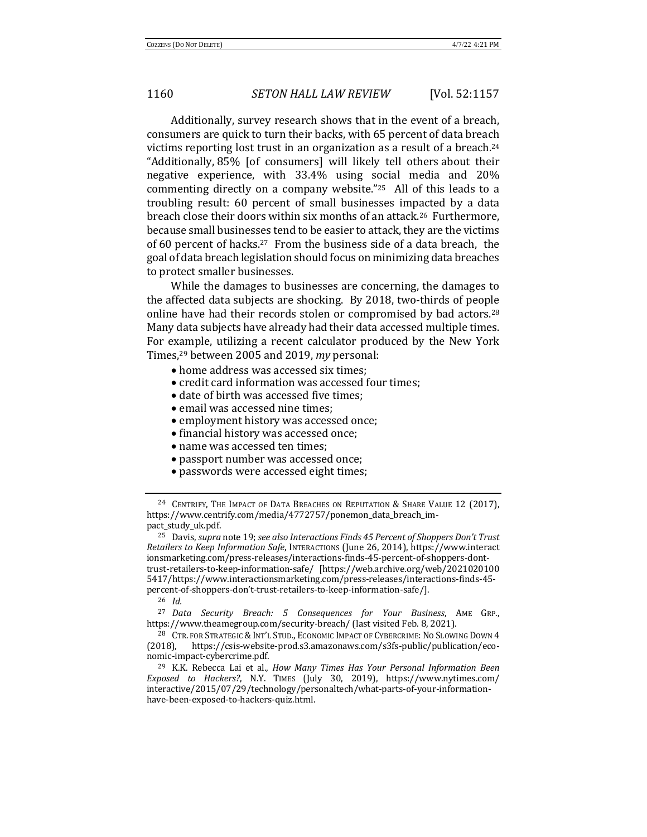Additionally, survey research shows that in the event of a breach, consumers are quick to turn their backs, with 65 percent of data breach victims reporting lost trust in an organization as a result of a breach.<sup>24</sup> "Additionally, 85% [of consumers] will likely tell others about their negative experience, with 33.4% using social media and 20% commenting directly on a company website."<sup>25</sup> All of this leads to a troubling result: 60 percent of small businesses impacted by a data breach close their doors within six months of an attack.<sup>26</sup> Furthermore, because small businesses tend to be easier to attack, they are the victims of 60 percent of hacks.<sup>27</sup> From the business side of a data breach, the goal of data breach legislation should focus on minimizing data breaches to protect smaller businesses.

While the damages to businesses are concerning, the damages to the affected data subjects are shocking. By 2018, two-thirds of people online have had their records stolen or compromised by bad actors.<sup>28</sup> Many data subjects have already had their data accessed multiple times. For example, utilizing a recent calculator produced by the New York Times,29 between 2005 and 2019, *my* personal: 

- home address was accessed six times;
- credit card information was accessed four times;
- date of birth was accessed five times;
- email was accessed nine times;
- employment history was accessed once;
- financial history was accessed once;
- name was accessed ten times;
- passport number was accessed once;
- passwords were accessed eight times;

<sup>27</sup> *Data Security Breach: 5 Consequences for Your Business*, AME GRP., https://www.theamegroup.com/security-breach/ (last visited Feb. 8, 2021).

<sup>28</sup> CTR. FOR STRATEGIC & INT'L STUD., ECONOMIC IMPACT OF CYBERCRIME: NO SLOWING DOWN 4 (2018), https://csis-website-prod.s3.amazonaws.com/s3fs-public/publication/economic-impact-cybercrime.pdf. 

<sup>29</sup> K.K. Rebecca Lai et al., *How Many Times Has Your Personal Information Been Exposed to Hackers?*, N.Y. TIMES (July 30, 2019), https://www.nytimes.com/ interactive/2015/07/29/technology/personaltech/what-parts-of-your-informationhave-been-exposed-to-hackers-quiz.html.

<sup>&</sup>lt;sup>24</sup> CENTRIFY, THE IMPACT OF DATA BREACHES ON REPUTATION & SHARE VALUE 12 (2017), https://www.centrify.com/media/4772757/ponemon\_data\_breach\_impact\_study\_uk.pdf. 

<sup>&</sup>lt;sup>25</sup> Davis, *supra* note 19; *see also Interactions Finds* 45 Percent of Shoppers Don't Trust *Retailers to Keep Information Safe*, INTERACTIONS (June 26, 2014), https://www.interact ionsmarketing.com/press-releases/interactions-finds-45-percent-of-shoppers-donttrust-retailers-to-keep-information-safe/ [https://web.archive.org/web/2021020100 5417/https://www.interactionsmarketing.com/press-releases/interactions-finds-45 percent-of-shoppers-don't-trust-retailers-to-keep-information-safe/].

<sup>26</sup> *Id.*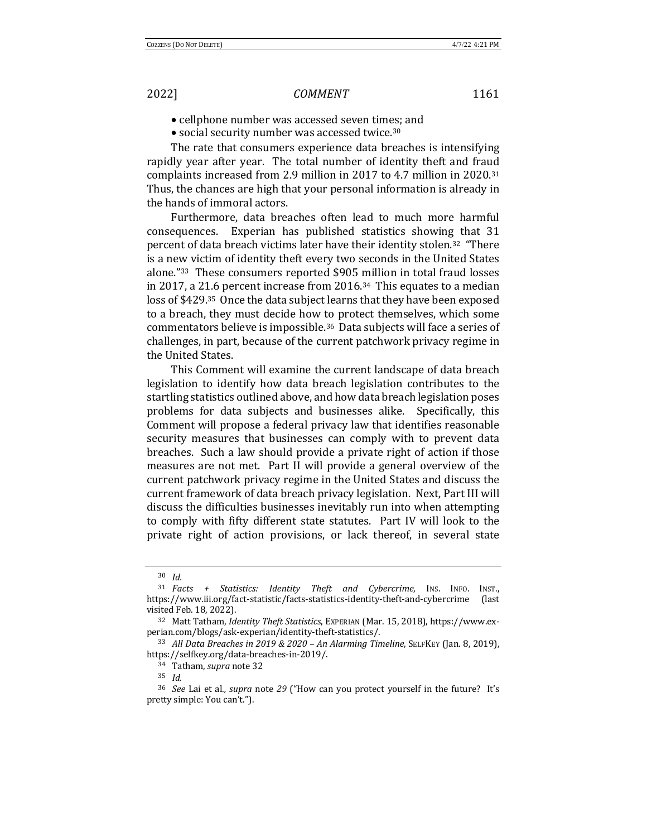• cellphone number was accessed seven times; and

• social security number was accessed twice.<sup>30</sup>

The rate that consumers experience data breaches is intensifying rapidly year after year. The total number of identity theft and fraud complaints increased from 2.9 million in 2017 to 4.7 million in 2020.<sup>31</sup> Thus, the chances are high that your personal information is already in the hands of immoral actors.

Furthermore, data breaches often lead to much more harmful consequences. Experian has published statistics showing that 31 percent of data breach victims later have their identity stolen.<sup>32</sup> "There is a new victim of identity theft every two seconds in the United States alone."<sup>33</sup> These consumers reported \$905 million in total fraud losses in 2017, a 21.6 percent increase from 2016.<sup>34</sup> This equates to a median loss of \$429.<sup>35</sup> Once the data subject learns that they have been exposed to a breach, they must decide how to protect themselves, which some commentators believe is impossible.<sup>36</sup> Data subjects will face a series of challenges, in part, because of the current patchwork privacy regime in the United States.

This Comment will examine the current landscape of data breach legislation to identify how data breach legislation contributes to the startling statistics outlined above, and how data breach legislation poses problems for data subjects and businesses alike. Specifically, this Comment will propose a federal privacy law that identifies reasonable security measures that businesses can comply with to prevent data breaches. Such a law should provide a private right of action if those measures are not met. Part II will provide a general overview of the current patchwork privacy regime in the United States and discuss the current framework of data breach privacy legislation. Next, Part III will discuss the difficulties businesses inevitably run into when attempting to comply with fifty different state statutes. Part IV will look to the private right of action provisions, or lack thereof, in several state

<sup>30</sup> *Id.*

<sup>&</sup>lt;sup>31</sup> *Facts* + *Statistics: Identity Theft and Cybercrime*, Ins. Info. Inst., https://www.iii.org/fact-statistic/facts-statistics-identity-theft-and-cybercrime (last visited Feb. 18, 2022).

<sup>&</sup>lt;sup>32</sup> Matt Tatham, *Identity Theft Statistics*, Experian (Mar. 15, 2018), https://www.experian.com/blogs/ask-experian/identity-theft-statistics/.

<sup>&</sup>lt;sup>33</sup> All Data Breaches in 2019 & 2020 - An Alarming Timeline, SELFKEY (Jan. 8, 2019), https://selfkey.org/data-breaches-in-2019/.

<sup>&</sup>lt;sup>34</sup> Tatham, *supra* note 32

<sup>35</sup> *Id.*

<sup>&</sup>lt;sup>36</sup> *See* Lai et al., *supra* note 29 ("How can you protect yourself in the future? It's pretty simple: You can't.").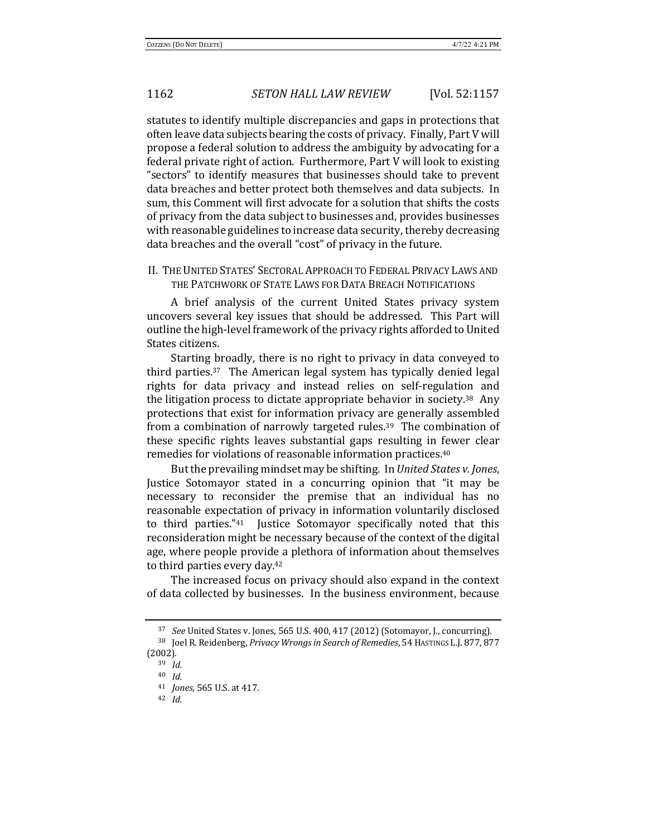statutes to identify multiple discrepancies and gaps in protections that often leave data subjects bearing the costs of privacy. Finally, Part V will propose a federal solution to address the ambiguity by advocating for a federal private right of action. Furthermore, Part V will look to existing "sectors" to identify measures that businesses should take to prevent data breaches and better protect both themselves and data subjects. In sum, this Comment will first advocate for a solution that shifts the costs of privacy from the data subject to businesses and, provides businesses with reasonable guidelines to increase data security, thereby decreasing data breaches and the overall "cost" of privacy in the future.

II. THE UNITED STATES' SECTORAL APPROACH TO FEDERAL PRIVACY LAWS AND THE PATCHWORK OF STATE LAWS FOR DATA BREACH NOTIFICATIONS

A brief analysis of the current United States privacy system uncovers several key issues that should be addressed. This Part will outline the high-level framework of the privacy rights afforded to United States citizens.

Starting broadly, there is no right to privacy in data conveyed to third parties.<sup>37</sup> The American legal system has typically denied legal rights for data privacy and instead relies on self-regulation and the litigation process to dictate appropriate behavior in society.<sup>38</sup> Any protections that exist for information privacy are generally assembled from a combination of narrowly targeted rules.<sup>39</sup> The combination of these specific rights leaves substantial gaps resulting in fewer clear remedies for violations of reasonable information practices.<sup>40</sup>

But the prevailing mindset may be shifting. In *United States v. Jones*, Justice Sotomayor stated in a concurring opinion that "it may be necessary to reconsider the premise that an individual has no reasonable expectation of privacy in information voluntarily disclosed to third parties." $41$  Justice Sotomayor specifically noted that this reconsideration might be necessary because of the context of the digital age, where people provide a plethora of information about themselves to third parties every day.<sup>42</sup>

The increased focus on privacy should also expand in the context of data collected by businesses. In the business environment, because

<sup>&</sup>lt;sup>37</sup> *See* United States v. Jones, 565 U.S. 400, 417 (2012) (Sotomayor, J., concurring).

<sup>&</sup>lt;sup>38</sup> Joel R. Reidenberg, *Privacy Wrongs in Search of Remedies*, 54 HASTINGS L.J. 877, 877 (2002). 

<sup>39</sup> *Id.*

<sup>40</sup> *Id.* 

<sup>41</sup> *Jones*, 565 U.S. at 417.

<sup>42</sup> *Id.*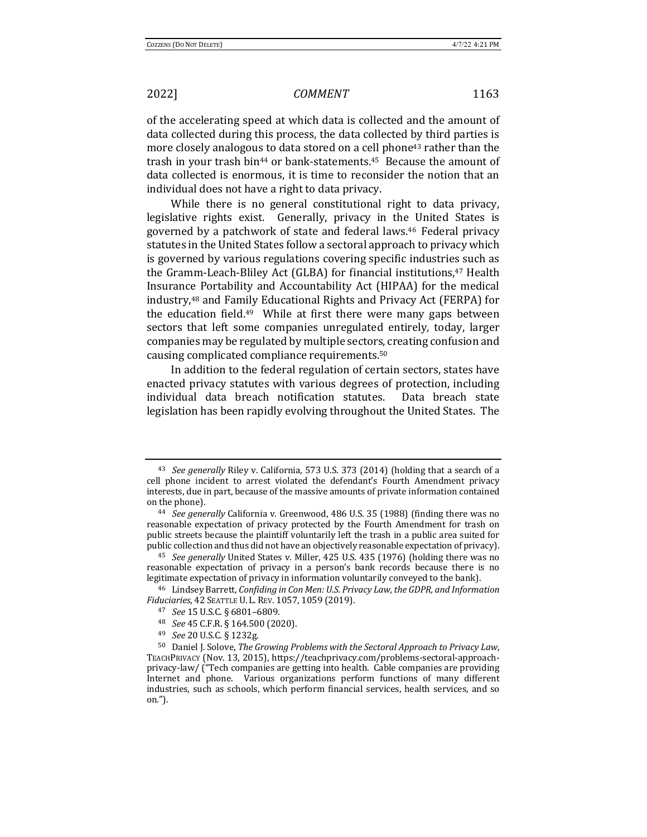of the accelerating speed at which data is collected and the amount of data collected during this process, the data collected by third parties is more closely analogous to data stored on a cell phone<sup>43</sup> rather than the trash in your trash bin<sup>44</sup> or bank-statements.<sup>45</sup> Because the amount of data collected is enormous, it is time to reconsider the notion that an individual does not have a right to data privacy.

While there is no general constitutional right to data privacy, legislative rights exist. Generally, privacy in the United States is governed by a patchwork of state and federal laws.<sup>46</sup> Federal privacy statutes in the United States follow a sectoral approach to privacy which is governed by various regulations covering specific industries such as the Gramm-Leach-Bliley Act (GLBA) for financial institutions,<sup>47</sup> Health Insurance Portability and Accountability Act (HIPAA) for the medical industry,<sup>48</sup> and Family Educational Rights and Privacy Act (FERPA) for the education field.<sup>49</sup> While at first there were many gaps between sectors that left some companies unregulated entirely, today, larger companies may be regulated by multiple sectors, creating confusion and causing complicated compliance requirements.<sup>50</sup>

In addition to the federal regulation of certain sectors, states have enacted privacy statutes with various degrees of protection, including individual data breach notification statutes. Data breach state legislation has been rapidly evolving throughout the United States. The

<sup>&</sup>lt;sup>43</sup> *See generally* Riley v. California, 573 U.S. 373 (2014) (holding that a search of a cell phone incident to arrest violated the defendant's Fourth Amendment privacy interests, due in part, because of the massive amounts of private information contained on the phone).

<sup>&</sup>lt;sup>44</sup> See generally California v. Greenwood, 486 U.S. 35 (1988) (finding there was no reasonable expectation of privacy protected by the Fourth Amendment for trash on public streets because the plaintiff voluntarily left the trash in a public area suited for public collection and thus did not have an objectively reasonable expectation of privacy).

<sup>&</sup>lt;sup>45</sup> *See generally* United States v. Miller, 425 U.S. 435 (1976) (holding there was no reasonable expectation of privacy in a person's bank records because there is no legitimate expectation of privacy in information voluntarily conveyed to the bank).

<sup>&</sup>lt;sup>46</sup> Lindsey Barrett, *Confiding in Con Men: U.S. Privacy Law, the GDPR, and Information Fiduciaries*, 42 SEATTLE U. L. REV. 1057, 1059 (2019). 

<sup>47</sup> *See* 15 U.S.C. § 6801–6809.

<sup>48</sup> *See* 45 C.F.R. § 164.500 (2020).

<sup>49</sup> *See* 20 U.S.C. § 1232g.

<sup>50</sup> Daniel J. Solove, *The Growing Problems with the Sectoral Approach to Privacy Law*, TEACHPRIVACY (Nov. 13, 2015), https://teachprivacy.com/problems-sectoral-approachprivacy-law/ ("Tech companies are getting into health. Cable companies are providing Internet and phone. Various organizations perform functions of many different industries, such as schools, which perform financial services, health services, and so on.").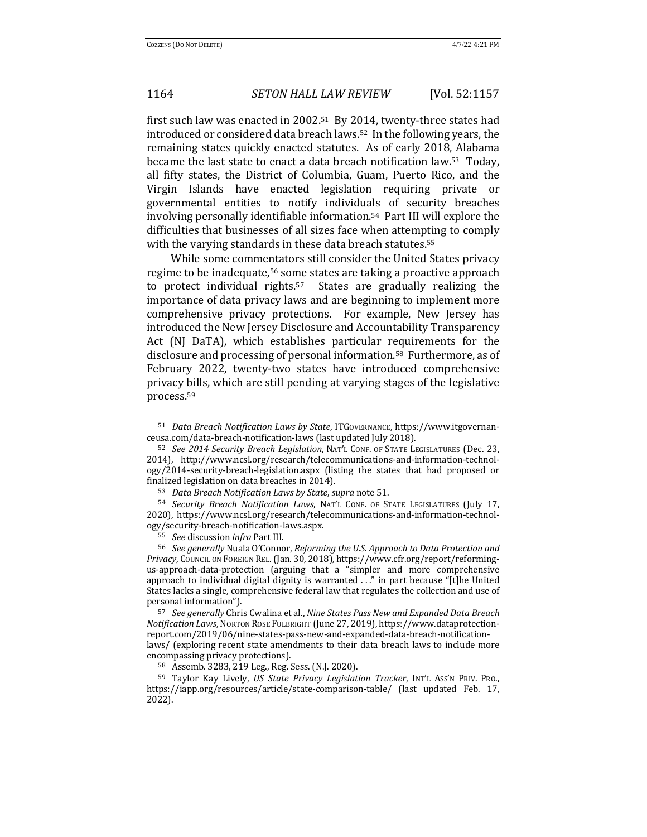first such law was enacted in 2002.<sup>51</sup> By 2014, twenty-three states had introduced or considered data breach laws.<sup>52</sup> In the following years, the remaining states quickly enacted statutes. As of early 2018, Alabama became the last state to enact a data breach notification law.<sup>53</sup> Today, all fifty states, the District of Columbia, Guam, Puerto Rico, and the Virgin Islands have enacted legislation requiring private or governmental entities to notify individuals of security breaches involving personally identifiable information.<sup>54</sup> Part III will explore the difficulties that businesses of all sizes face when attempting to comply with the varying standards in these data breach statutes.<sup>55</sup>

While some commentators still consider the United States privacy regime to be inadequate,<sup>56</sup> some states are taking a proactive approach to protect individual rights.<sup>57</sup> States are gradually realizing the importance of data privacy laws and are beginning to implement more comprehensive privacy protections. For example, New Jersey has introduced the New Jersey Disclosure and Accountability Transparency Act (NJ DaTA), which establishes particular requirements for the disclosure and processing of personal information.<sup>58</sup> Furthermore, as of February 2022, twenty-two states have introduced comprehensive privacy bills, which are still pending at varying stages of the legislative process.59

55 *See* discussion *infra* Part III.

56 *See generally* Nuala O'Connor, *Reforming the U.S. Approach to Data Protection and Privacy*, Council on Foreign Rel. (Jan. 30, 2018), https://www.cfr.org/report/reformingus-approach-data-protection (arguing that a "simpler and more comprehensive approach to individual digital dignity is warranted ..." in part because "[t]he United States lacks a single, comprehensive federal law that regulates the collection and use of personal information").

57 *See generally* Chris Cwalina et al., *Nine States Pass New and Expanded Data Breach Notification Laws*, Norton Rose Fulbright (June 27, 2019), https://www.dataprotectionreport.com/2019/06/nine-states-pass-new-and-expanded-data-breach-notificationlaws/ (exploring recent state amendments to their data breach laws to include more encompassing privacy protections).

58 Assemb. 3283, 219 Leg., Reg. Sess. (N.J. 2020).

<sup>51</sup> *Data Breach Notification Laws by State*, ITGOVERNANCE, https://www.itgovernanceusa.com/data-breach-notification-laws (last updated July 2018).

<sup>52</sup> *See 2014 Security Breach Legislation*, NAT'L CONF. OF STATE LEGISLATURES (Dec. 23, 2014), http://www.ncsl.org/research/telecommunications-and-information-technology/2014-security-breach-legislation.aspx (listing the states that had proposed or finalized legislation on data breaches in 2014).

<sup>53</sup> *Data Breach Notification Laws by State*, *supra* note 51.

<sup>54</sup> *Security Breach Notification Laws*, NAT'L CONF. OF STATE LEGISLATURES (July 17, 2020), https://www.ncsl.org/research/telecommunications-and-information-technology/security-breach-notification-laws.aspx.

<sup>59</sup> Taylor Kay Lively, *US State Privacy Legislation Tracker*, INT'L Ass'N PRIV. PRO., https://iapp.org/resources/article/state-comparison-table/ (last updated Feb. 17, 2022).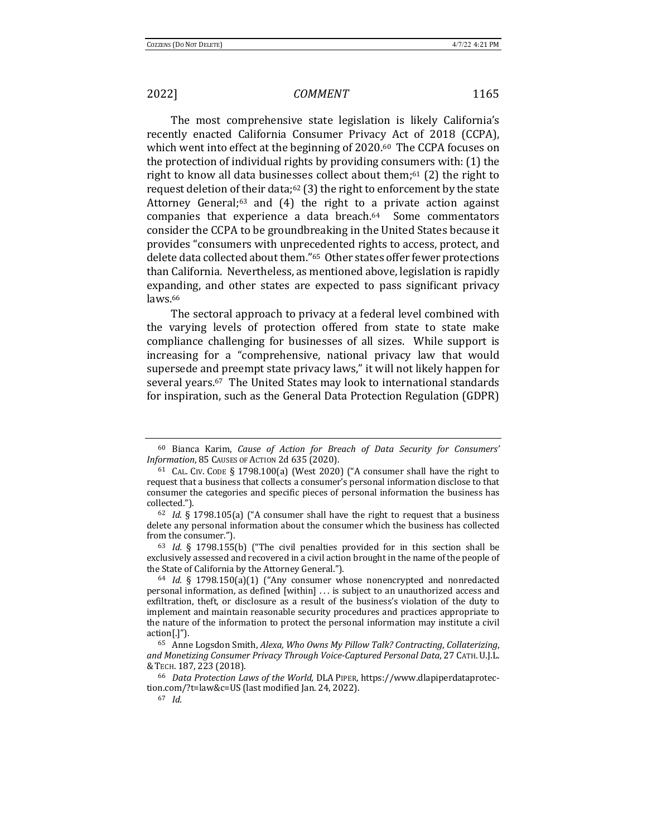The most comprehensive state legislation is likely California's recently enacted California Consumer Privacy Act of 2018 (CCPA), which went into effect at the beginning of 2020.<sup>60</sup> The CCPA focuses on the protection of individual rights by providing consumers with:  $(1)$  the right to know all data businesses collect about them;<sup>61</sup> (2) the right to request deletion of their data;<sup>62</sup> (3) the right to enforcement by the state Attorney General;<sup>63</sup> and  $(4)$  the right to a private action against companies that experience a data breach. $64$  Some commentators consider the CCPA to be groundbreaking in the United States because it provides "consumers with unprecedented rights to access, protect, and delete data collected about them."<sup>65</sup> Other states offer fewer protections than California. Nevertheless, as mentioned above, legislation is rapidly expanding, and other states are expected to pass significant privacy laws.66 

The sectoral approach to privacy at a federal level combined with the varying levels of protection offered from state to state make compliance challenging for businesses of all sizes. While support is increasing for a "comprehensive, national privacy law that would supersede and preempt state privacy laws," it will not likely happen for several years.<sup>67</sup> The United States may look to international standards for inspiration, such as the General Data Protection Regulation (GDPR)

<sup>63</sup> *Id.* § 1798.155(b) ("The civil penalties provided for in this section shall be exclusively assessed and recovered in a civil action brought in the name of the people of the State of California by the Attorney General.").

<sup>67</sup> *Id.*

<sup>60</sup> Bianca Karim, *Cause of Action for Breach of Data Security for Consumers' Information*, 85 CAUSES OF ACTION 2d 635 (2020).

 $61$  CAL. CIV. CODE § 1798.100(a) (West 2020) ("A consumer shall have the right to request that a business that collects a consumer's personal information disclose to that consumer the categories and specific pieces of personal information the business has collected.").

 $62$  *Id.* § 1798.105(a) ("A consumer shall have the right to request that a business delete any personal information about the consumer which the business has collected from the consumer.").

<sup>&</sup>lt;sup>64</sup> *Id.* § 1798.150(a)(1) ("Any consumer whose nonencrypted and nonredacted personal information, as defined  $[within] \ldots$  is subject to an unauthorized access and exfiltration, theft, or disclosure as a result of the business's violation of the duty to implement and maintain reasonable security procedures and practices appropriate to the nature of the information to protect the personal information may institute a civil action[.]").

<sup>65</sup> Anne Logsdon Smith, *Alexa, Who Owns My Pillow Talk? Contracting*, *Collaterizing*, *and Monetizing Consumer Privacy Through Voice-Captured Personal Data*, 27 CATH. U.J.L. & Тесн. 187, 223 (2018).

<sup>&</sup>lt;sup>66</sup> Data Protection Laws of the World, DLA PIPER, https://www.dlapiperdataprotection.com/?t=law&c=US (last modified Jan. 24, 2022).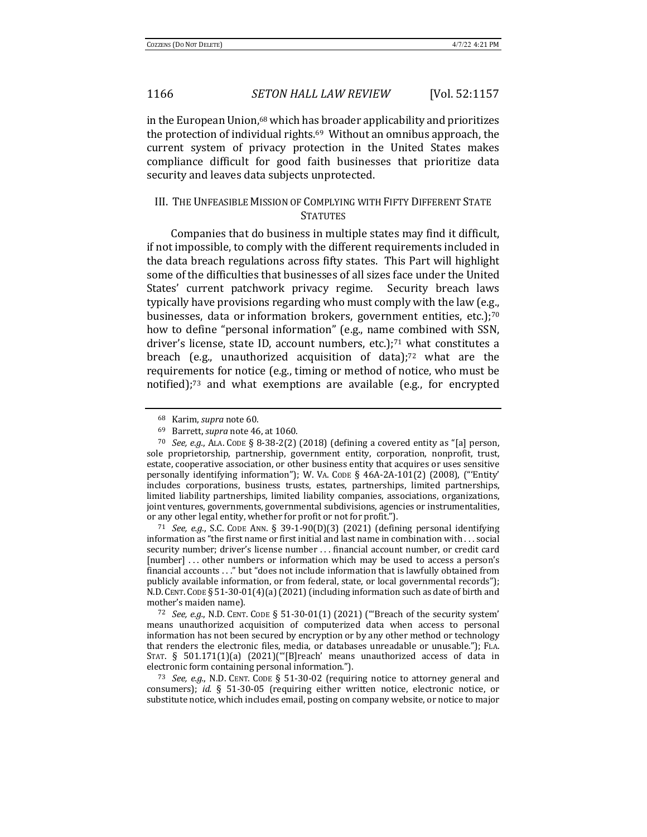in the European Union,<sup>68</sup> which has broader applicability and prioritizes the protection of individual rights.<sup>69</sup> Without an omnibus approach, the current system of privacy protection in the United States makes compliance difficult for good faith businesses that prioritize data security and leaves data subjects unprotected.

# III. THE UNFEASIBLE MISSION OF COMPLYING WITH FIFTY DIFFERENT STATE **STATUTES**

Companies that do business in multiple states may find it difficult, if not impossible, to comply with the different requirements included in the data breach regulations across fifty states. This Part will highlight some of the difficulties that businesses of all sizes face under the United States' current patchwork privacy regime. Security breach laws typically have provisions regarding who must comply with the law (e.g., businesses, data or information brokers, government entities, etc.);<sup>70</sup> how to define "personal information" (e.g., name combined with SSN, driver's license, state ID, account numbers, etc.); $71$  what constitutes a breach (e.g., unauthorized acquisition of data);<sup>72</sup> what are the requirements for notice (e.g., timing or method of notice, who must be notified); $73$  and what exemptions are available (e.g., for encrypted

71 *See, e.g.*, S.C. CODE ANN. § 39-1-90(D)(3) (2021) (defining personal identifying information as "the first name or first initial and last name in combination with . . . social security number; driver's license number ... financial account number, or credit card [number] ... other numbers or information which may be used to access a person's financial accounts . . ." but "does not include information that is lawfully obtained from publicly available information, or from federal, state, or local governmental records"); N.D. CENT. CODE §  $51-30-01(4)(a)$  (2021) (including information such as date of birth and mother's maiden name).

<sup>72</sup> *See, e.g.*, N.D. CENT. CODE § 51-30-01(1) (2021) ("Breach of the security system' means unauthorized acquisition of computerized data when access to personal information has not been secured by encryption or by any other method or technology that renders the electronic files, media, or databases unreadable or unusable."); FLA. STAT. § 501.171(1)(a) (2021)("[B]reach' means unauthorized access of data in electronic form containing personal information.").

73 *See, e.g.*, N.D. CENT. CODE § 51-30-02 (requiring notice to attorney general and consumers); *id.* § 51-30-05 (requiring either written notice, electronic notice, or substitute notice, which includes email, posting on company website, or notice to major

<sup>68</sup> Karim, *supra* note 60.

<sup>69</sup> Barrett, *supra* note 46, at 1060.

<sup>&</sup>lt;sup>70</sup> *See, e.g.*, ALA. CODE § 8-38-2(2) (2018) (defining a covered entity as "[a] person, sole proprietorship, partnership, government entity, corporation, nonprofit, trust, estate, cooperative association, or other business entity that acquires or uses sensitive personally identifying information"); W. VA. Code  $\S$  46A-2A-101(2) (2008), ("Entity' includes corporations, business trusts, estates, partnerships, limited partnerships, limited liability partnerships, limited liability companies, associations, organizations, joint ventures, governments, governmental subdivisions, agencies or instrumentalities, or any other legal entity, whether for profit or not for profit.").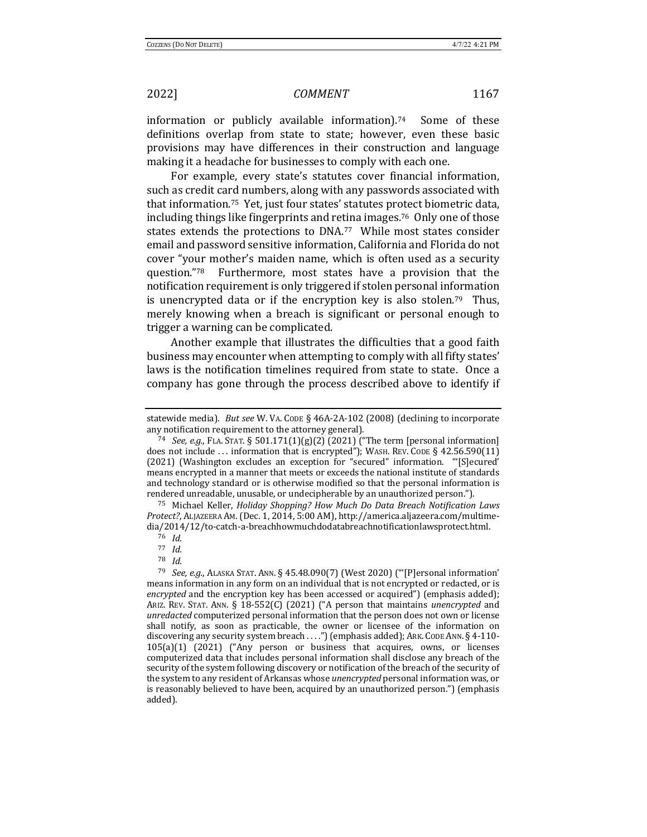information or publicly available information).<sup>74</sup> Some of these definitions overlap from state to state; however, even these basic provisions may have differences in their construction and language making it a headache for businesses to comply with each one.

For example, every state's statutes cover financial information, such as credit card numbers, along with any passwords associated with that information.<sup>75</sup> Yet, just four states' statutes protect biometric data, including things like fingerprints and retina images.<sup>76</sup> Only one of those states extends the protections to DNA.<sup>77</sup> While most states consider email and password sensitive information, California and Florida do not cover "your mother's maiden name, which is often used as a security question."78 Furthermore, most states have a provision that the notification requirement is only triggered if stolen personal information is unencrypted data or if the encryption key is also stolen.<sup>79</sup> Thus, merely knowing when a breach is significant or personal enough to trigger a warning can be complicated.

Another example that illustrates the difficulties that a good faith business may encounter when attempting to comply with all fifty states' laws is the notification timelines required from state to state. Once a company has gone through the process described above to identify if

<sup>75</sup> Michael Keller, *Holiday Shopping? How Much Do Data Breach Notification Laws* Protect?, ALJAZEERA AM. (Dec. 1, 2014, 5:00 AM), http://america.aljazeera.com/multimedia/2014/12/to-catch-a-breachhowmuchdodatabreachnotificationlawsprotect.html.

statewide media). *But see* W. VA. CODE § 46A-2A-102 (2008) (declining to incorporate any notification requirement to the attorney general).

<sup>&</sup>lt;sup>74</sup> *See, e.g.*, FLA. STAT. §  $501.171(1)(g)(2)$  (2021) ("The term [personal information] does not include ... information that is encrypted"); WASH. REV. CODE § 42.56.590(11) (2021) (Washington excludes an exception for "secured" information. "'[S]ecured' means encrypted in a manner that meets or exceeds the national institute of standards and technology standard or is otherwise modified so that the personal information is rendered unreadable, unusable, or undecipherable by an unauthorized person.").

<sup>76</sup> *Id.*

<sup>77</sup> *Id.*

<sup>78</sup> *Id.*

<sup>&</sup>lt;sup>79</sup> *See, e.g.*, ALASKA STAT. ANN. § 45.48.090(7) (West 2020) ("'[P]ersonal information' means information in any form on an individual that is not encrypted or redacted, or is *encrypted* and the encryption key has been accessed or acquired") (emphasis added); ARIZ. REV. STAT. ANN. § 18-552(C) (2021) ("A person that maintains *unencrypted* and *unredacted* computerized personal information that the person does not own or license shall notify, as soon as practicable, the owner or licensee of the information on discovering any security system breach ....") (emphasis added); ARK. CODE ANN. § 4-110- $105(a)(1)$   $(2021)$  ("Any person or business that acquires, owns, or licenses computerized data that includes personal information shall disclose any breach of the security of the system following discovery or notification of the breach of the security of the system to any resident of Arkansas whose *unencrypted* personal information was, or is reasonably believed to have been, acquired by an unauthorized person.") (emphasis added).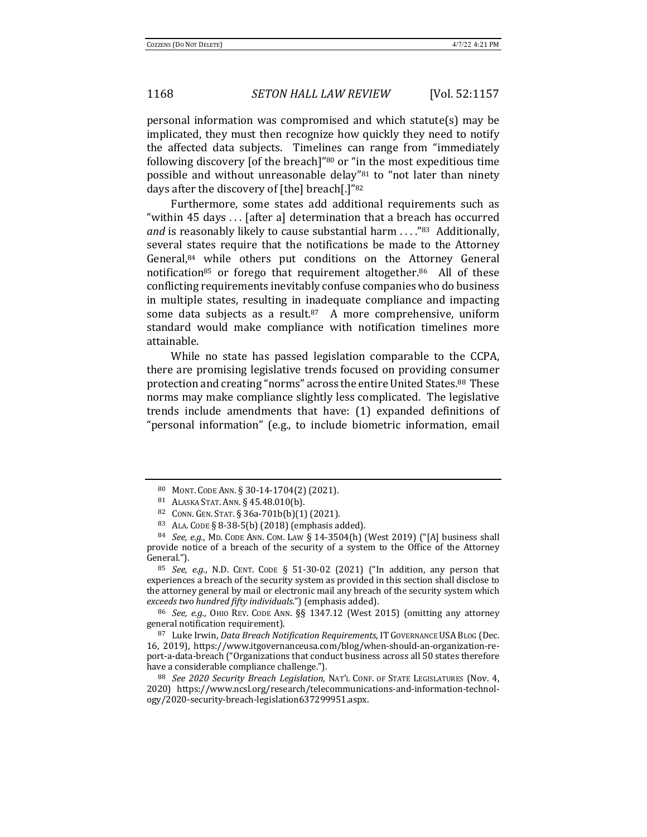personal information was compromised and which statute(s) may be implicated, they must then recognize how quickly they need to notify the affected data subjects. Timelines can range from "immediately following discovery  $[$  of the breach $]$ "<sup>80</sup> or "in the most expeditious time possible and without unreasonable delay" $81$  to "not later than ninety days after the discovery of  $[$ the] breach $[.]$ "<sup>82</sup>

Furthermore, some states add additional requirements such as "within  $45$  days ... [after a] determination that a breach has occurred *and* is reasonably likely to cause substantial harm ...."<sup>83</sup> Additionally, several states require that the notifications be made to the Attorney General, $84$  while others put conditions on the Attorney General notification<sup>85</sup> or forego that requirement altogether.<sup>86</sup> All of these conflicting requirements inevitably confuse companies who do business in multiple states, resulting in inadequate compliance and impacting some data subjects as a result.<sup>87</sup> A more comprehensive, uniform standard would make compliance with notification timelines more attainable. 

While no state has passed legislation comparable to the CCPA, there are promising legislative trends focused on providing consumer protection and creating "norms" across the entire United States.<sup>88</sup> These norms may make compliance slightly less complicated. The legislative trends include amendments that have: (1) expanded definitions of "personal information" (e.g., to include biometric information, email

<sup>80</sup> MONT. CODE ANN. § 30-14-1704(2) (2021).

<sup>81</sup> ALASKA STAT. ANN. § 45.48.010(b).

<sup>82</sup> CONN. GEN. STAT. § 36a-701b(b)(1) (2021).

<sup>83</sup> ALA. CODE  $\S 8-38-5(b)$  (2018) (emphasis added).

<sup>84</sup> *See, e.g.*, MD. CODE ANN. COM. LAW § 14-3504(h) (West 2019) ("[A] business shall provide notice of a breach of the security of a system to the Office of the Attorney General.").

<sup>&</sup>lt;sup>85</sup> *See, e.g.*, N.D. CENT. CODE § 51-30-02 (2021) ("In addition, any person that experiences a breach of the security system as provided in this section shall disclose to the attorney general by mail or electronic mail any breach of the security system which exceeds two hundred fifty individuals.") (emphasis added).

<sup>&</sup>lt;sup>86</sup> *See, e.g.*, OHIO REV. CODE ANN. §§ 1347.12 (West 2015) (omitting any attorney general notification requirement).

<sup>87</sup> Luke Irwin, *Data Breach Notification Requirements*, IT GOVERNANCE USA BLOG (Dec. 16, 2019), https://www.itgovernanceusa.com/blog/when-should-an-organization-report-a-data-breach ("Organizations that conduct business across all 50 states therefore have a considerable compliance challenge.").

<sup>88</sup> *See 2020 Security Breach Legislation*, NAT'L CONF. OF STATE LEGISLATURES (Nov. 4, 2020) https://www.ncsl.org/research/telecommunications-and-information-technology/2020-security-breach-legislation637299951.aspx.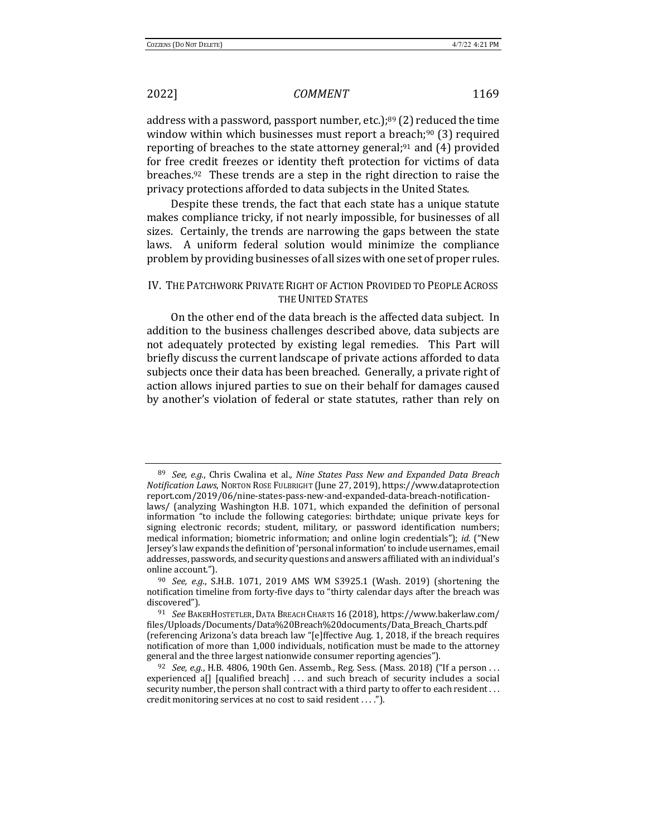address with a password, passport number, etc.);<sup>89</sup> (2) reduced the time window within which businesses must report a breach;<sup>90</sup> (3) required reporting of breaches to the state attorney general;<sup>91</sup> and  $(4)$  provided for free credit freezes or identity theft protection for victims of data breaches.<sup>92</sup> These trends are a step in the right direction to raise the privacy protections afforded to data subjects in the United States.

Despite these trends, the fact that each state has a unique statute makes compliance tricky, if not nearly impossible, for businesses of all sizes. Certainly, the trends are narrowing the gaps between the state laws. A uniform federal solution would minimize the compliance problem by providing businesses of all sizes with one set of proper rules.

# IV. THE PATCHWORK PRIVATE RIGHT OF ACTION PROVIDED TO PEOPLE ACROSS THE UNITED STATES

On the other end of the data breach is the affected data subject. In addition to the business challenges described above, data subjects are not adequately protected by existing legal remedies. This Part will briefly discuss the current landscape of private actions afforded to data subjects once their data has been breached. Generally, a private right of action allows injured parties to sue on their behalf for damages caused by another's violation of federal or state statutes, rather than rely on

<sup>89</sup> *See, e.g.*, Chris Cwalina et al., *Nine States Pass New and Expanded Data Breach Notification Laws*, NORTON ROSE FULBRIGHT (June 27, 2019), https://www.dataprotection report.com/2019/06/nine-states-pass-new-and-expanded-data-breach-notificationlaws/ (analyzing Washington H.B. 1071, which expanded the definition of personal information "to include the following categories: birthdate; unique private keys for signing electronic records; student, military, or password identification numbers; medical information; biometric information; and online login credentials"); *id.* ("New Jersey's law expands the definition of 'personal information' to include usernames, email addresses, passwords, and security questions and answers affiliated with an individual's online account.").

<sup>&</sup>lt;sup>90</sup> *See, e.g.*, S.H.B. 1071, 2019 AMS WM S3925.1 (Wash. 2019) (shortening the notification timeline from forty-five days to "thirty calendar days after the breach was discovered"). 

<sup>&</sup>lt;sup>91</sup> See BAKERHOSTETLER, DATA BREACH CHARTS 16 (2018), https://www.bakerlaw.com/ files/Uploads/Documents/Data%20Breach%20documents/Data\_Breach\_Charts.pdf (referencing Arizona's data breach law "[e]ffective Aug. 1, 2018, if the breach requires notification of more than 1,000 individuals, notification must be made to the attorney general and the three largest nationwide consumer reporting agencies").

<sup>92</sup> *See, e.g.*, H.B. 4806, 190th Gen. Assemb., Reg. Sess. (Mass. 2018) ("If a person ... experienced a[] [qualified breach] ... and such breach of security includes a social security number, the person shall contract with a third party to offer to each resident ... credit monitoring services at no cost to said resident  $\dots$ .").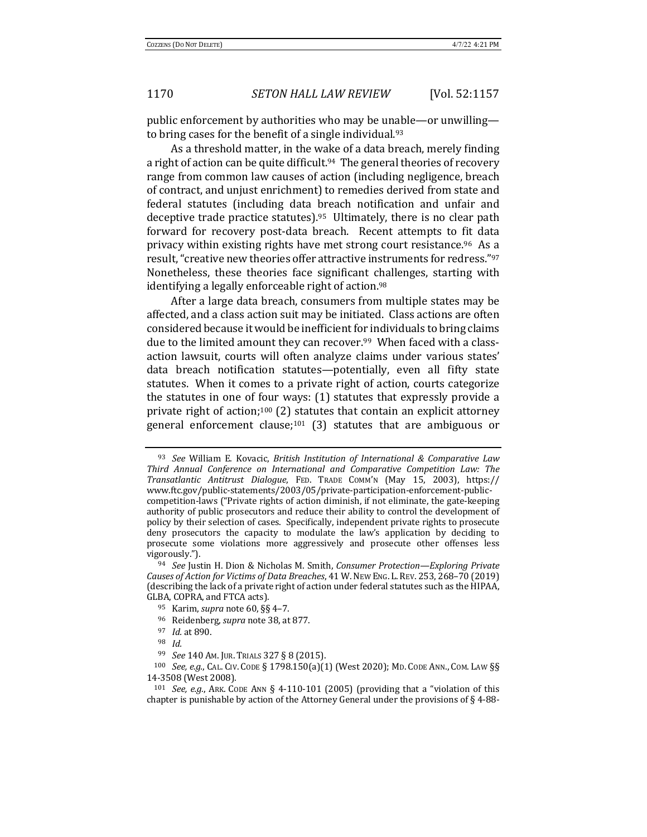public enforcement by authorities who may be unable—or unwilling to bring cases for the benefit of a single individual.<sup>93</sup>

As a threshold matter, in the wake of a data breach, merely finding a right of action can be quite difficult. $94$  The general theories of recovery range from common law causes of action (including negligence, breach of contract, and unjust enrichment) to remedies derived from state and federal statutes (including data breach notification and unfair and deceptive trade practice statutes).<sup>95</sup> Ultimately, there is no clear path forward for recovery post-data breach. Recent attempts to fit data privacy within existing rights have met strong court resistance.<sup>96</sup> As a result, "creative new theories offer attractive instruments for redress."97 Nonetheless, these theories face significant challenges, starting with identifying a legally enforceable right of action.<sup>98</sup>

After a large data breach, consumers from multiple states may be affected, and a class action suit may be initiated. Class actions are often considered because it would be inefficient for individuals to bring claims due to the limited amount they can recover.<sup>99</sup> When faced with a classaction lawsuit, courts will often analyze claims under various states' data breach notification statutes—potentially, even all fifty state statutes. When it comes to a private right of action, courts categorize the statutes in one of four ways:  $(1)$  statutes that expressly provide a private right of action;<sup>100</sup> (2) statutes that contain an explicit attorney general enforcement clause;<sup>101</sup> (3) statutes that are ambiguous or

- <sup>96</sup> Reidenberg, *supra* note 38, at 877.<br><sup>97</sup> *Id* at 890
- *Id.* at 890.
- <sup>98</sup> *Id.*

<sup>&</sup>lt;sup>93</sup> See William E. Kovacic, *British Institution of International & Comparative Law Third Annual Conference on International and Comparative Competition Law: The Transatlantic Antitrust Dialogue*, FED. TRADE COMM'N (May 15, 2003), https:// www.ftc.gov/public-statements/2003/05/private-participation-enforcement-publiccompetition-laws ("Private rights of action diminish, if not eliminate, the gate-keeping authority of public prosecutors and reduce their ability to control the development of policy by their selection of cases. Specifically, independent private rights to prosecute deny prosecutors the capacity to modulate the law's application by deciding to prosecute some violations more aggressively and prosecute other offenses less vigorously.").

<sup>&</sup>lt;sup>94</sup> See Justin H. Dion & Nicholas M. Smith, *Consumer Protection—Exploring Private Causes of Action for Victims of Data Breaches,* 41 W. New Eng. L. Rev. 253, 268-70 (2019) (describing the lack of a private right of action under federal statutes such as the HIPAA, GLBA, COPRA, and FTCA acts).

<sup>95</sup> Karim, *supra* note 60, §§ 4-7.

<sup>99</sup> *See* 140 AM. JUR. TRIALS 327 § 8 (2015).

<sup>100</sup> *See, e.g.*, CAL. CIV. CODE § 1798.150(a)(1) (West 2020); MD. CODE ANN., COM. LAW §§ 14-3508 (West 2008). 

<sup>&</sup>lt;sup>101</sup> *See, e.g.*, ARK. CODE ANN § 4-110-101 (2005) (providing that a "violation of this chapter is punishable by action of the Attorney General under the provisions of  $\S$  4-88-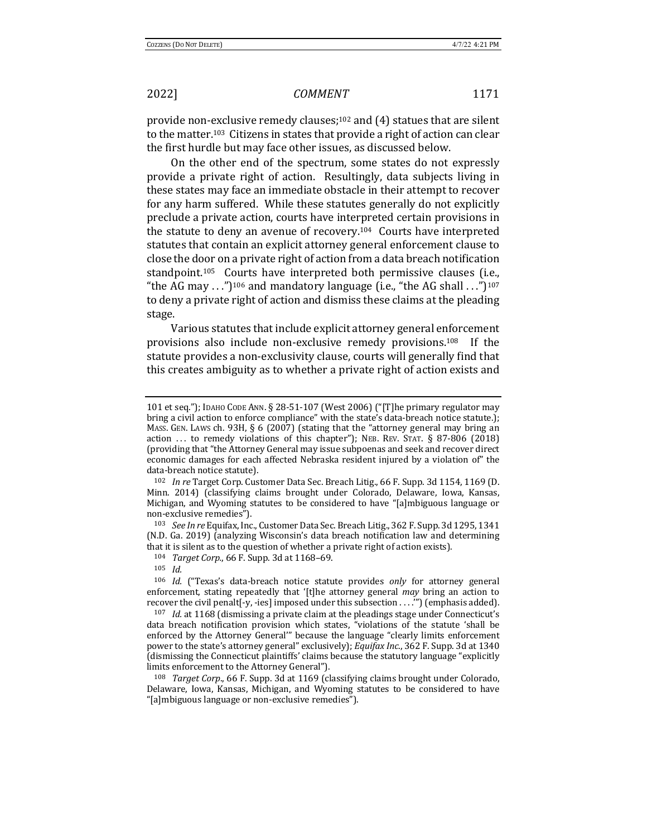provide non-exclusive remedy clauses;<sup>102</sup> and  $(4)$  statues that are silent to the matter.<sup>103</sup> Citizens in states that provide a right of action can clear the first hurdle but may face other issues, as discussed below.

On the other end of the spectrum, some states do not expressly provide a private right of action. Resultingly, data subjects living in these states may face an immediate obstacle in their attempt to recover for any harm suffered. While these statutes generally do not explicitly preclude a private action, courts have interpreted certain provisions in the statute to deny an avenue of recovery.<sup>104</sup> Courts have interpreted statutes that contain an explicit attorney general enforcement clause to close the door on a private right of action from a data breach notification standpoint.<sup>105</sup> Courts have interpreted both permissive clauses (i.e., "the AG may  $\ldots$ ")<sup>106</sup> and mandatory language (i.e., "the AG shall  $\ldots$ ")<sup>107</sup> to deny a private right of action and dismiss these claims at the pleading stage. 

Various statutes that include explicit attorney general enforcement provisions also include non-exclusive remedy provisions.<sup>108</sup> If the statute provides a non-exclusivity clause, courts will generally find that this creates ambiguity as to whether a private right of action exists and

<sup>103</sup> *See In re* Equifax, Inc., Customer Data Sec. Breach Litig., 362 F. Supp. 3d 1295, 1341 (N.D. Ga. 2019) (analyzing Wisconsin's data breach notification law and determining that it is silent as to the question of whether a private right of action exists).

<sup>105</sup> *Id.*

<sup>101</sup> et seq."); IDAHO CODE ANN. § 28-51-107 (West 2006) ("[T]he primary regulator may bring a civil action to enforce compliance" with the state's data-breach notice statute.); MASS. GEN. LAWS ch. 93H, § 6 (2007) (stating that the "attorney general may bring an action ... to remedy violations of this chapter"); NEB. REV. STAT. § 87-806 (2018) (providing that "the Attorney General may issue subpoenas and seek and recover direct economic damages for each affected Nebraska resident injured by a violation of" the data-breach notice statute).

<sup>&</sup>lt;sup>102</sup> *In re* Target Corp. Customer Data Sec. Breach Litig., 66 F. Supp. 3d 1154, 1169 (D. Minn. 2014) (classifying claims brought under Colorado, Delaware, Iowa, Kansas, Michigan, and Wyoming statutes to be considered to have "[a]mbiguous language or non-exclusive remedies").

<sup>104</sup> *Target Corp.*, 66 F. Supp. 3d at 1168–69.

<sup>&</sup>lt;sup>106</sup> *Id.* ("Texas's data-breach notice statute provides only for attorney general enforcement, stating repeatedly that '[t]he attorney general *may* bring an action to recover the civil penalt[-y, -ies] imposed under this subsection . . . ."") (emphasis added).

<sup>&</sup>lt;sup>107</sup> *Id.* at 1168 (dismissing a private claim at the pleadings stage under Connecticut's data breach notification provision which states, "violations of the statute 'shall be enforced by the Attorney General" because the language "clearly limits enforcement power to the state's attorney general" exclusively); *Equifax Inc.*, 362 F. Supp. 3d at 1340 (dismissing the Connecticut plaintiffs' claims because the statutory language "explicitly limits enforcement to the Attorney General").

<sup>&</sup>lt;sup>108</sup> *Target Corp.*, 66 F. Supp. 3d at 1169 (classifying claims brought under Colorado, Delaware, Iowa, Kansas, Michigan, and Wyoming statutes to be considered to have "[a]mbiguous language or non-exclusive remedies"].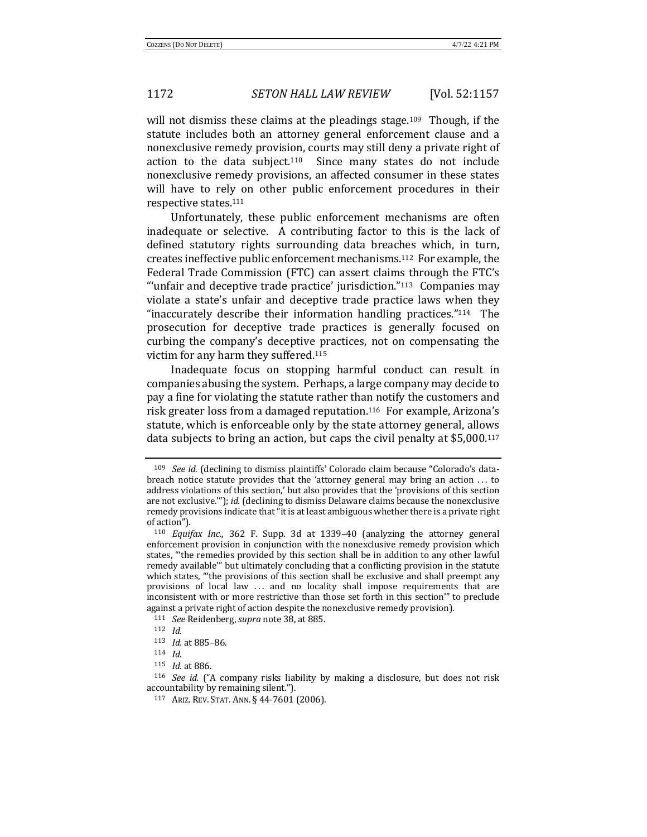will not dismiss these claims at the pleadings stage.<sup>109</sup> Though, if the statute includes both an attorney general enforcement clause and a nonexclusive remedy provision, courts may still deny a private right of action to the data subject.<sup>110</sup> Since many states do not include nonexclusive remedy provisions, an affected consumer in these states will have to rely on other public enforcement procedures in their respective states.<sup>111</sup>

Unfortunately, these public enforcement mechanisms are often inadequate or selective. A contributing factor to this is the lack of defined statutory rights surrounding data breaches which, in turn, creates ineffective public enforcement mechanisms.<sup>112</sup> For example, the Federal Trade Commission (FTC) can assert claims through the FTC's "'unfair and deceptive trade practice' jurisdiction."<sup>113</sup> Companies may violate a state's unfair and deceptive trade practice laws when they "inaccurately describe their information handling practices."<sup>114</sup> The prosecution for deceptive trade practices is generally focused on curbing the company's deceptive practices, not on compensating the victim for any harm they suffered. $115$ 

Inadequate focus on stopping harmful conduct can result in companies abusing the system. Perhaps, a large company may decide to pay a fine for violating the statute rather than notify the customers and risk greater loss from a damaged reputation.<sup>116</sup> For example, Arizona's statute, which is enforceable only by the state attorney general, allows data subjects to bring an action, but caps the civil penalty at  $$5,000$ .<sup>117</sup>

<sup>109</sup> *See id.* (declining to dismiss plaintiffs' Colorado claim because "Colorado's databreach notice statute provides that the 'attorney general may bring an action  $\dots$  to address violations of this section,' but also provides that the 'provisions of this section are not exclusive."'); *id.* (declining to dismiss Delaware claims because the nonexclusive remedy provisions indicate that "it is at least ambiguous whether there is a private right of action").

 $110$  *Equifax Inc.*, 362 F. Supp. 3d at 1339–40 (analyzing the attorney general enforcement provision in conjunction with the nonexclusive remedy provision which states, "the remedies provided by this section shall be in addition to any other lawful remedy available" but ultimately concluding that a conflicting provision in the statute which states, "the provisions of this section shall be exclusive and shall preempt any provisions of local law ... and no locality shall impose requirements that are inconsistent with or more restrictive than those set forth in this section" to preclude against a private right of action despite the nonexclusive remedy provision).

<sup>111</sup> *See* Reidenberg, *supra* note 38, at 885.

<sup>112</sup> *Id.*

<sup>113</sup> *Id.* at 885-86.

<sup>114</sup> *Id.*

<sup>115</sup> *Id.* at 886.

<sup>&</sup>lt;sup>116</sup> *See id.* ("A company risks liability by making a disclosure, but does not risk accountability by remaining silent.").

<sup>117</sup> ARIZ. REV. STAT. ANN. § 44-7601 (2006).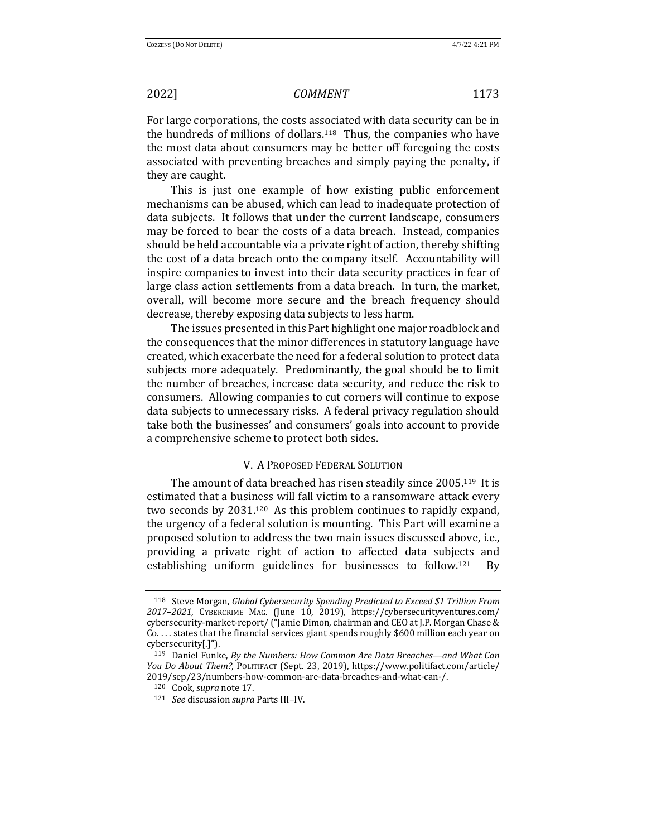For large corporations, the costs associated with data security can be in the hundreds of millions of dollars.<sup>118</sup> Thus, the companies who have the most data about consumers may be better off foregoing the costs associated with preventing breaches and simply paying the penalty, if they are caught.

This is just one example of how existing public enforcement mechanisms can be abused, which can lead to inadequate protection of data subjects. It follows that under the current landscape, consumers may be forced to bear the costs of a data breach. Instead, companies should be held accountable via a private right of action, thereby shifting the cost of a data breach onto the company itself. Accountability will inspire companies to invest into their data security practices in fear of large class action settlements from a data breach. In turn, the market, overall, will become more secure and the breach frequency should decrease, thereby exposing data subjects to less harm.

The issues presented in this Part highlight one major roadblock and the consequences that the minor differences in statutory language have created, which exacerbate the need for a federal solution to protect data subjects more adequately. Predominantly, the goal should be to limit the number of breaches, increase data security, and reduce the risk to consumers. Allowing companies to cut corners will continue to expose data subjects to unnecessary risks. A federal privacy regulation should take both the businesses' and consumers' goals into account to provide a comprehensive scheme to protect both sides.

# V. A PROPOSED FEDERAL SOLUTION

The amount of data breached has risen steadily since 2005.<sup>119</sup> It is estimated that a business will fall victim to a ransomware attack every two seconds by 2031.<sup>120</sup> As this problem continues to rapidly expand, the urgency of a federal solution is mounting. This Part will examine a proposed solution to address the two main issues discussed above, i.e., providing a private right of action to affected data subjects and establishing uniform guidelines for businesses to follow.<sup>121</sup> By

<sup>&</sup>lt;sup>118</sup> Steve Morgan, *Global Cybersecurity Spending Predicted to Exceed \$1 Trillion From 2017–2021*, CYBERCRIME MAG. (June 10, 2019), https://cybersecurityventures.com/ cybersecurity-market-report/ ("Jamie Dimon, chairman and CEO at J.P. Morgan Chase & Co.... states that the financial services giant spends roughly \$600 million each year on cybersecurity[.]").

<sup>&</sup>lt;sup>119</sup> Daniel Funke, *By the Numbers: How Common Are Data Breaches—and What Can You Do About Them?*, POLITIFACT (Sept. 23, 2019), https://www.politifact.com/article/ 2019/sep/23/numbers-how-common-are-data-breaches-and-what-can-/.

<sup>120</sup> Cook, *supra* note 17.

<sup>121</sup> *See* discussion *supra* Parts III–IV.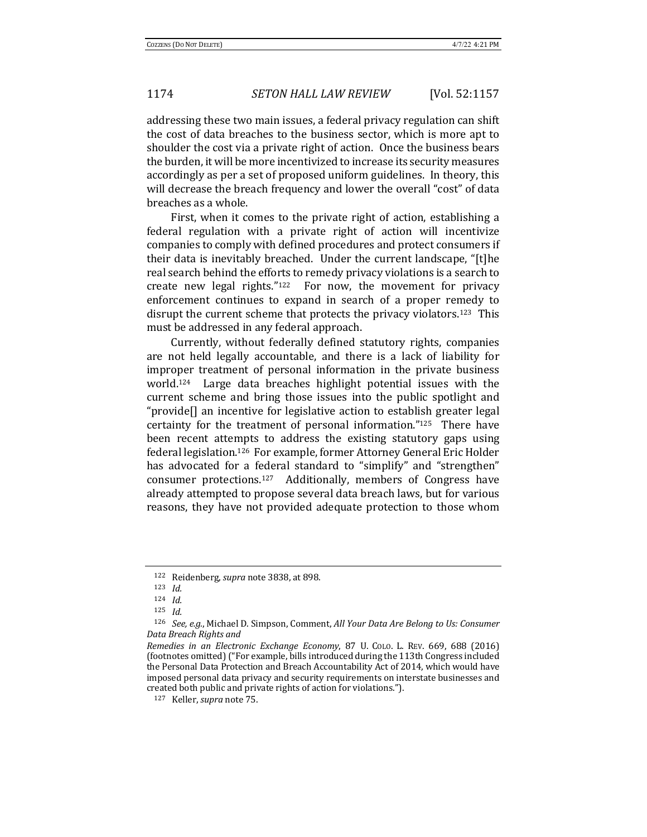addressing these two main issues, a federal privacy regulation can shift the cost of data breaches to the business sector, which is more apt to shoulder the cost via a private right of action. Once the business bears the burden, it will be more incentivized to increase its security measures accordingly as per a set of proposed uniform guidelines. In theory, this will decrease the breach frequency and lower the overall "cost" of data breaches as a whole.

First, when it comes to the private right of action, establishing a federal regulation with a private right of action will incentivize companies to comply with defined procedures and protect consumers if their data is inevitably breached. Under the current landscape, "[t]he real search behind the efforts to remedy privacy violations is a search to create new legal rights." $122$  For now, the movement for privacy enforcement continues to expand in search of a proper remedy to disrupt the current scheme that protects the privacy violators.<sup>123</sup> This must be addressed in any federal approach.

Currently, without federally defined statutory rights, companies are not held legally accountable, and there is a lack of liability for improper treatment of personal information in the private business world.<sup>124</sup> Large data breaches highlight potential issues with the current scheme and bring those issues into the public spotlight and "provide $\parallel$  an incentive for legislative action to establish greater legal certainty for the treatment of personal information." $125$  There have been recent attempts to address the existing statutory gaps using federal legislation.<sup>126</sup> For example, former Attorney General Eric Holder has advocated for a federal standard to "simplify" and "strengthen" consumer protections.<sup>127</sup> Additionally, members of Congress have already attempted to propose several data breach laws, but for various reasons, they have not provided adequate protection to those whom

<sup>122</sup> Reidenberg, *supra* note 3838, at 898.

<sup>123</sup> *Id.*

<sup>124</sup> *Id.*

<sup>125</sup> *Id.*

<sup>126</sup> *See, e.g.*, Michael D. Simpson, Comment, *All Your Data Are Belong to Us: Consumer Data Breach Rights and*

*Remedies in an Electronic Exchange Economy*, 87 U. Colo. L. REV. 669, 688 (2016) (footnotes omitted) ("For example, bills introduced during the 113th Congress included the Personal Data Protection and Breach Accountability Act of 2014, which would have imposed personal data privacy and security requirements on interstate businesses and created both public and private rights of action for violations.").

<sup>127</sup> Keller, *supra* note 75.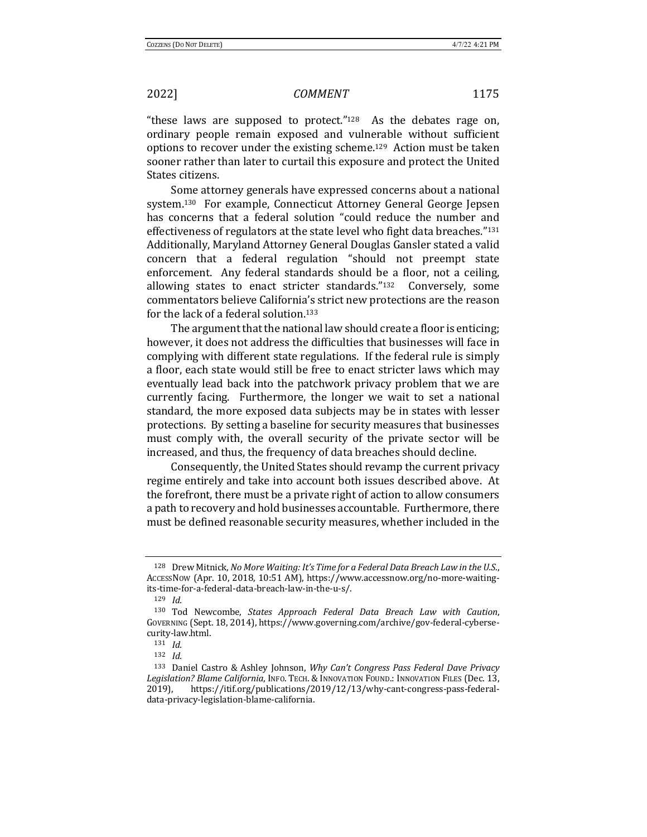"these laws are supposed to protect." $128$  As the debates rage on, ordinary people remain exposed and vulnerable without sufficient options to recover under the existing scheme.<sup>129</sup> Action must be taken sooner rather than later to curtail this exposure and protect the United States citizens.

Some attorney generals have expressed concerns about a national system.<sup>130</sup> For example, Connecticut Attorney General George Jepsen has concerns that a federal solution "could reduce the number and effectiveness of regulators at the state level who fight data breaches."<sup>131</sup> Additionally, Maryland Attorney General Douglas Gansler stated a valid concern that a federal regulation "should not preempt state enforcement. Any federal standards should be a floor, not a ceiling, allowing states to enact stricter standards." $132$  Conversely, some commentators believe California's strict new protections are the reason for the lack of a federal solution.<sup>133</sup>

The argument that the national law should create a floor is enticing; however, it does not address the difficulties that businesses will face in complying with different state regulations. If the federal rule is simply a floor, each state would still be free to enact stricter laws which may eventually lead back into the patchwork privacy problem that we are currently facing. Furthermore, the longer we wait to set a national standard, the more exposed data subjects may be in states with lesser protections. By setting a baseline for security measures that businesses must comply with, the overall security of the private sector will be increased, and thus, the frequency of data breaches should decline.

Consequently, the United States should revamp the current privacy regime entirely and take into account both issues described above. At the forefront, there must be a private right of action to allow consumers a path to recovery and hold businesses accountable. Furthermore, there must be defined reasonable security measures, whether included in the

<sup>&</sup>lt;sup>128</sup> Drew Mitnick, *No More Waiting: It's Time for a Federal Data Breach Law in the U.S.*, AccessNow (Apr. 10, 2018, 10:51 AM), https://www.accessnow.org/no-more-waitingits-time-for-a-federal-data-breach-law-in-the-u-s/.

<sup>129</sup> *Id.*

<sup>&</sup>lt;sup>130</sup> Tod Newcombe, *States Approach Federal Data Breach Law with Caution*, GOVERNING (Sept. 18, 2014), https://www.governing.com/archive/gov-federal-cybersecurity-law.html.

<sup>131</sup> *Id.*

<sup>132</sup> *Id.*

<sup>&</sup>lt;sup>133</sup> Daniel Castro & Ashley Johnson, *Why Can't Congress Pass Federal Dave Privacy* Legislation? Blame California, INFO. TECH. & INNOVATION FOUND.: INNOVATION FILES (Dec. 13, 2019), https://itif.org/publications/2019/12/13/why-cant-congress-pass-federaldata-privacy-legislation-blame-california.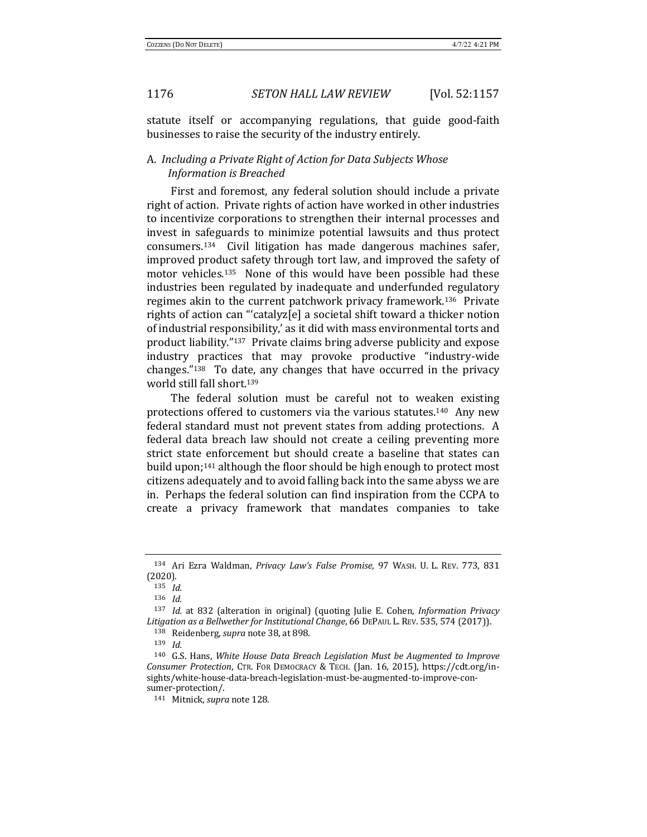statute itself or accompanying regulations, that guide good-faith businesses to raise the security of the industry entirely.

# A. Including a Private Right of Action for Data Subjects Whose *Information is Breached*

First and foremost, any federal solution should include a private right of action. Private rights of action have worked in other industries to incentivize corporations to strengthen their internal processes and invest in safeguards to minimize potential lawsuits and thus protect consumers.<sup>134</sup> Civil litigation has made dangerous machines safer, improved product safety through tort law, and improved the safety of motor vehicles.<sup>135</sup> None of this would have been possible had these industries been regulated by inadequate and underfunded regulatory regimes akin to the current patchwork privacy framework.<sup>136</sup> Private rights of action can "'catalyz[e] a societal shift toward a thicker notion of industrial responsibility,' as it did with mass environmental torts and product liability."<sup>137</sup> Private claims bring adverse publicity and expose industry practices that may provoke productive "industry-wide changes." $138$  To date, any changes that have occurred in the privacy world still fall short.<sup>139</sup>

The federal solution must be careful not to weaken existing protections offered to customers via the various statutes.<sup>140</sup> Any new federal standard must not prevent states from adding protections. A federal data breach law should not create a ceiling preventing more strict state enforcement but should create a baseline that states can build upon;<sup>141</sup> although the floor should be high enough to protect most citizens adequately and to avoid falling back into the same abyss we are in. Perhaps the federal solution can find inspiration from the CCPA to create a privacy framework that mandates companies to take

<sup>134</sup> Ari Ezra Waldman, *Privacy Law's False Promise*, 97 WASH. U. L. REV. 773, 831 (2020).

<sup>135</sup> *Id.*

<sup>136</sup> *Id.*

<sup>&</sup>lt;sup>137</sup> *Id.* at 832 (alteration in original) (quoting Julie E. Cohen, Information Privacy Litigation as a Bellwether for Institutional Change, 66 DEPAUL L. REV. 535, 574 (2017)).

<sup>138</sup> Reidenberg, *supra* note 38, at 898.

<sup>139</sup> *Id.*

<sup>&</sup>lt;sup>140</sup> G.S. Hans, *White House Data Breach Legislation Must be Augmented to Improve Consumer Protection*, CTR. FOR DEMOCRACY & TECH. (Jan. 16, 2015), https://cdt.org/insights/white-house-data-breach-legislation-must-be-augmented-to-improve-consumer-protection/.

<sup>141</sup> Mitnick, *supra* note 128.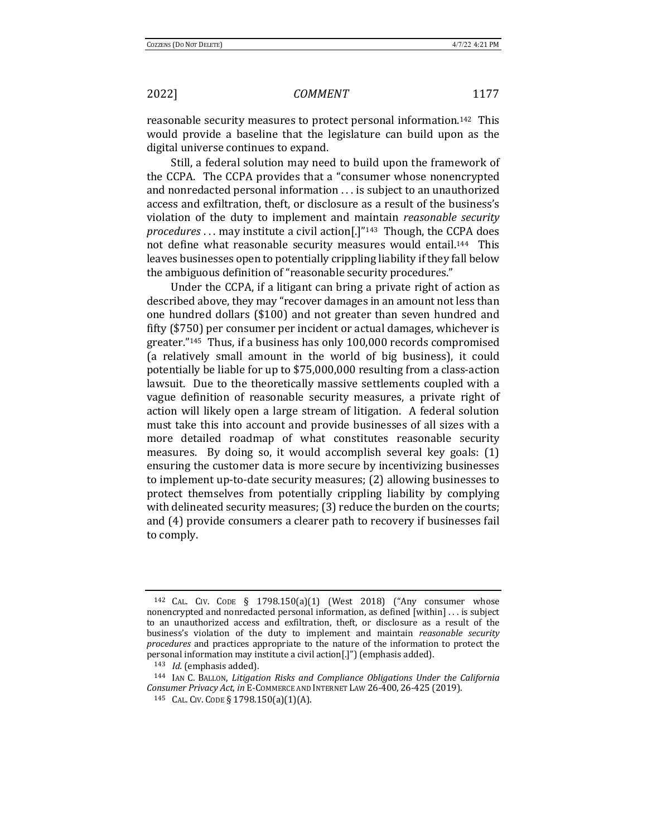reasonable security measures to protect personal information.<sup>142</sup> This would provide a baseline that the legislature can build upon as the digital universe continues to expand.

Still, a federal solution may need to build upon the framework of the CCPA. The CCPA provides that a "consumer whose nonencrypted and nonredacted personal information . . . is subject to an unauthorized access and exfiltration, theft, or disclosure as a result of the business's violation of the duty to implement and maintain *reasonable security procedures* ... may institute a civil action[.]"<sup>143</sup> Though, the CCPA does not define what reasonable security measures would entail.<sup>144</sup> This leaves businesses open to potentially crippling liability if they fall below the ambiguous definition of "reasonable security procedures."

Under the CCPA, if a litigant can bring a private right of action as described above, they may "recover damages in an amount not less than one hundred dollars (\$100) and not greater than seven hundred and fifty (\$750) per consumer per incident or actual damages, whichever is greater." $145$  Thus, if a business has only 100,000 records compromised (a relatively small amount in the world of big business), it could potentially be liable for up to \$75,000,000 resulting from a class-action lawsuit. Due to the theoretically massive settlements coupled with a vague definition of reasonable security measures, a private right of action will likely open a large stream of litigation. A federal solution must take this into account and provide businesses of all sizes with a more detailed roadmap of what constitutes reasonable security measures. By doing so, it would accomplish several key goals:  $(1)$ ensuring the customer data is more secure by incentivizing businesses to implement up-to-date security measures; (2) allowing businesses to protect themselves from potentially crippling liability by complying with delineated security measures; (3) reduce the burden on the courts; and (4) provide consumers a clearer path to recovery if businesses fail to comply.

<sup>142</sup> CAL. CIV. CODE § 1798.150(a)(1) (West 2018) ("Any consumer whose nonencrypted and nonredacted personal information, as defined [within] ... is subject to an unauthorized access and exfiltration, theft, or disclosure as a result of the business's violation of the duty to implement and maintain *reasonable security procedures* and practices appropriate to the nature of the information to protect the personal information may institute a civil action[.]") (emphasis added).

<sup>143</sup> *Id.* (emphasis added).

<sup>&</sup>lt;sup>144</sup> IAN C. BALLON, Litigation Risks and Compliance Obligations Under the California *Consumer Privacy Act*, *in* E-COMMERCE AND INTERNET LAW 26-400, 26-425 (2019).

<sup>145</sup> CAL. CIV. CODE § 1798.150(a)(1)(A).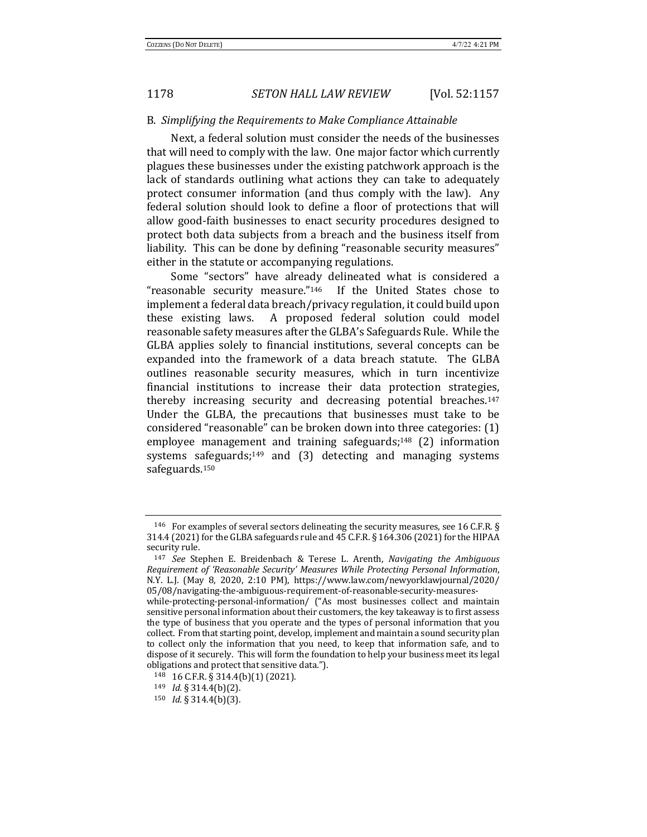### B. *Simplifying the Requirements to Make Compliance Attainable*

Next, a federal solution must consider the needs of the businesses that will need to comply with the law. One major factor which currently plagues these businesses under the existing patchwork approach is the lack of standards outlining what actions they can take to adequately protect consumer information (and thus comply with the law). Any federal solution should look to define a floor of protections that will allow good-faith businesses to enact security procedures designed to protect both data subjects from a breach and the business itself from liability. This can be done by defining "reasonable security measures" either in the statute or accompanying regulations.

Some "sectors" have already delineated what is considered a "reasonable security measure."<sup>146</sup> If the United States chose to implement a federal data breach/privacy regulation, it could build upon these existing laws. A proposed federal solution could model reasonable safety measures after the GLBA's Safeguards Rule. While the GLBA applies solely to financial institutions, several concepts can be expanded into the framework of a data breach statute. The GLBA outlines reasonable security measures, which in turn incentivize financial institutions to increase their data protection strategies, thereby increasing security and decreasing potential breaches.<sup>147</sup> Under the GLBA, the precautions that businesses must take to be considered "reasonable" can be broken down into three categories: (1) employee management and training safeguards;<sup>148</sup> (2) information systems safeguards;<sup>149</sup> and  $(3)$  detecting and managing systems safeguards.150 

<sup>&</sup>lt;sup>146</sup> For examples of several sectors delineating the security measures, see 16 C.F.R. §  $314.4$  (2021) for the GLBA safeguards rule and  $45$  C.F.R.  $\S$  164.306 (2021) for the HIPAA security rule.

<sup>&</sup>lt;sup>147</sup> *See* Stephen E. Breidenbach & Terese L. Arenth, *Navigating the Ambiguous Requirement of 'Reasonable Security' Measures While Protecting Personal Information*, N.Y. L.J. (May 8, 2020, 2:10 PM), https://www.law.com/newyorklawjournal/2020/ 05/08/navigating-the-ambiguous-requirement-of-reasonable-security-measures-

while-protecting-personal-information/ ("As most businesses collect and maintain sensitive personal information about their customers, the key takeaway is to first assess the type of business that you operate and the types of personal information that you collect. From that starting point, develop, implement and maintain a sound security plan to collect only the information that you need, to keep that information safe, and to dispose of it securely. This will form the foundation to help your business meet its legal obligations and protect that sensitive data.").

<sup>148 16</sup> C.F.R. § 314.4(b)(1) (2021).

<sup>149</sup> *Id.* § 314.4(b)(2).

<sup>150</sup> *Id.* § 314.4(b)(3).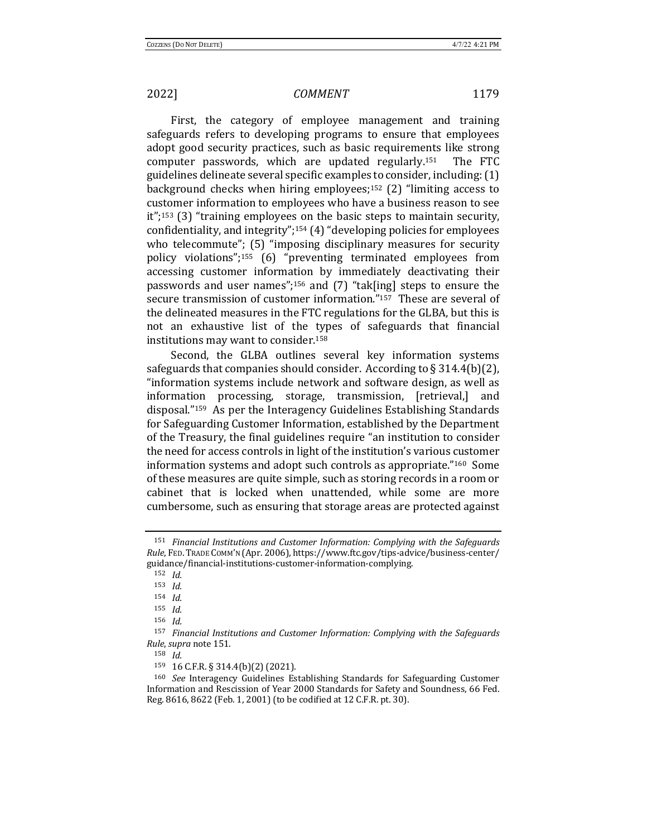First, the category of employee management and training safeguards refers to developing programs to ensure that employees adopt good security practices, such as basic requirements like strong computer passwords, which are updated regularly.<sup>151</sup> The FTC guidelines delineate several specific examples to consider, including:  $(1)$ background checks when hiring employees;<sup>152</sup> (2) "limiting access to customer information to employees who have a business reason to see  $it''$ ;<sup>153</sup> (3) "training employees on the basic steps to maintain security, confidentiality, and integrity";<sup>154</sup> (4) "developing policies for employees who telecommute"; (5) "imposing disciplinary measures for security policy violations";<sup>155</sup> (6) "preventing terminated employees from accessing customer information by immediately deactivating their passwords and user names";<sup>156</sup> and  $(7)$  "tak[ing] steps to ensure the secure transmission of customer information."<sup>157</sup> These are several of the delineated measures in the FTC regulations for the GLBA, but this is not an exhaustive list of the types of safeguards that financial institutions may want to consider.<sup>158</sup>

Second, the GLBA outlines several key information systems safeguards that companies should consider. According to  $\S 314.4(b)(2)$ , "information systems include network and software design, as well as information processing, storage, transmission, [retrieval,] and disposal."<sup>159</sup> As per the Interagency Guidelines Establishing Standards for Safeguarding Customer Information, established by the Department of the Treasury, the final guidelines require "an institution to consider the need for access controls in light of the institution's various customer information systems and adopt such controls as appropriate." $160$  Some of these measures are quite simple, such as storing records in a room or cabinet that is locked when unattended, while some are more cumbersome, such as ensuring that storage areas are protected against

<sup>&</sup>lt;sup>151</sup> Financial Institutions and Customer Information: Complying with the Safeguards *Rule*, FED. TRADE COMM'N (Apr. 2006), https://www.ftc.gov/tips-advice/business-center/ guidance/financial-institutions-customer-information-complying. 

<sup>152</sup> *Id.*

<sup>153</sup> *Id.*

<sup>154</sup> *Id.*

<sup>155</sup> *Id.*

<sup>156</sup> *Id.*

<sup>&</sup>lt;sup>157</sup> Financial Institutions and Customer Information: Complying with the Safeguards *Rule*, *supra* note 151.

<sup>158</sup> *Id.*

 $159$  16 C.F.R. § 314.4(b)(2) (2021).

<sup>&</sup>lt;sup>160</sup> See Interagency Guidelines Establishing Standards for Safeguarding Customer Information and Rescission of Year 2000 Standards for Safety and Soundness, 66 Fed. Reg. 8616, 8622 (Feb. 1, 2001) (to be codified at 12 C.F.R. pt. 30).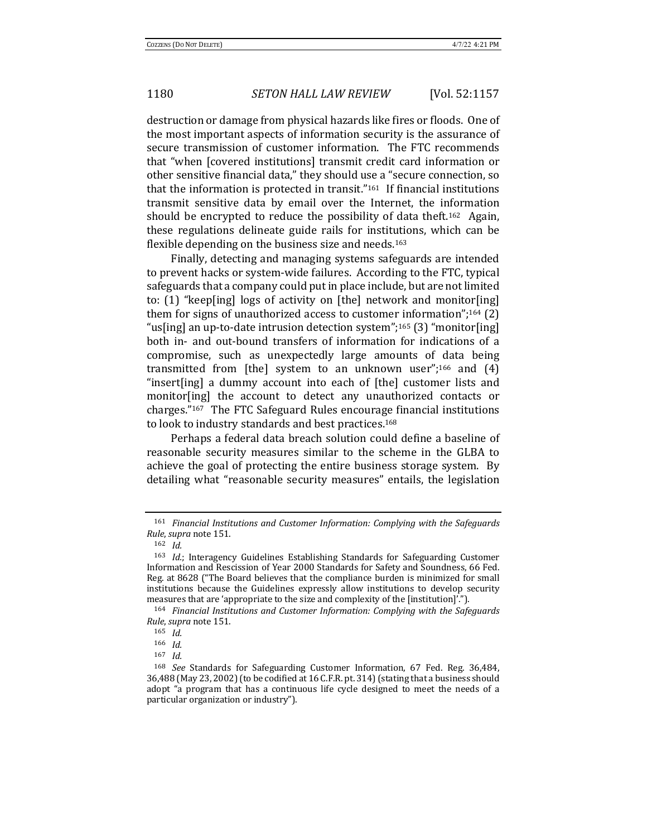destruction or damage from physical hazards like fires or floods. One of the most important aspects of information security is the assurance of secure transmission of customer information. The FTC recommends that "when [covered institutions] transmit credit card information or other sensitive financial data," they should use a "secure connection, so that the information is protected in transit." $161$  If financial institutions transmit sensitive data by email over the Internet, the information should be encrypted to reduce the possibility of data theft.<sup>162</sup> Again, these regulations delineate guide rails for institutions, which can be flexible depending on the business size and needs.<sup>163</sup>

Finally, detecting and managing systems safeguards are intended to prevent hacks or system-wide failures. According to the FTC, typical safeguards that a company could put in place include, but are not limited to:  $(1)$  "keep[ing] logs of activity on [the] network and monitor[ing] them for signs of unauthorized access to customer information";<sup>164</sup> (2) "us[ing] an up-to-date intrusion detection system";<sup>165</sup> (3) "monitor[ing] both in- and out-bound transfers of information for indications of a compromise, such as unexpectedly large amounts of data being transmitted from  $[the]$  system to an unknown user";<sup>166</sup> and  $(4)$ "insert[ing] a dummy account into each of [the] customer lists and monitor[ing] the account to detect any unauthorized contacts or charges."<sup>167</sup> The FTC Safeguard Rules encourage financial institutions to look to industry standards and best practices.<sup>168</sup>

Perhaps a federal data breach solution could define a baseline of reasonable security measures similar to the scheme in the GLBA to achieve the goal of protecting the entire business storage system. By detailing what "reasonable security measures" entails, the legislation

<sup>&</sup>lt;sup>161</sup> Financial Institutions and Customer Information: Complying with the Safeguards *Rule*, *supra* note 151.

<sup>162</sup> *Id.* 

<sup>&</sup>lt;sup>163</sup> *Id.*; Interagency Guidelines Establishing Standards for Safeguarding Customer Information and Rescission of Year 2000 Standards for Safety and Soundness, 66 Fed. Reg. at 8628 ("The Board believes that the compliance burden is minimized for small institutions because the Guidelines expressly allow institutions to develop security measures that are 'appropriate to the size and complexity of the [institution]'.").

<sup>&</sup>lt;sup>164</sup> Financial Institutions and Customer Information: Complying with the Safeguards *Rule*, *supra* note 151.

<sup>165</sup> *Id.*

<sup>166</sup> *Id.*

<sup>167</sup> *Id.*

<sup>&</sup>lt;sup>168</sup> See Standards for Safeguarding Customer Information, 67 Fed. Reg. 36,484, 36,488 (May 23, 2002) (to be codified at 16 C.F.R. pt. 314) (stating that a business should adopt "a program that has a continuous life cycle designed to meet the needs of a particular organization or industry").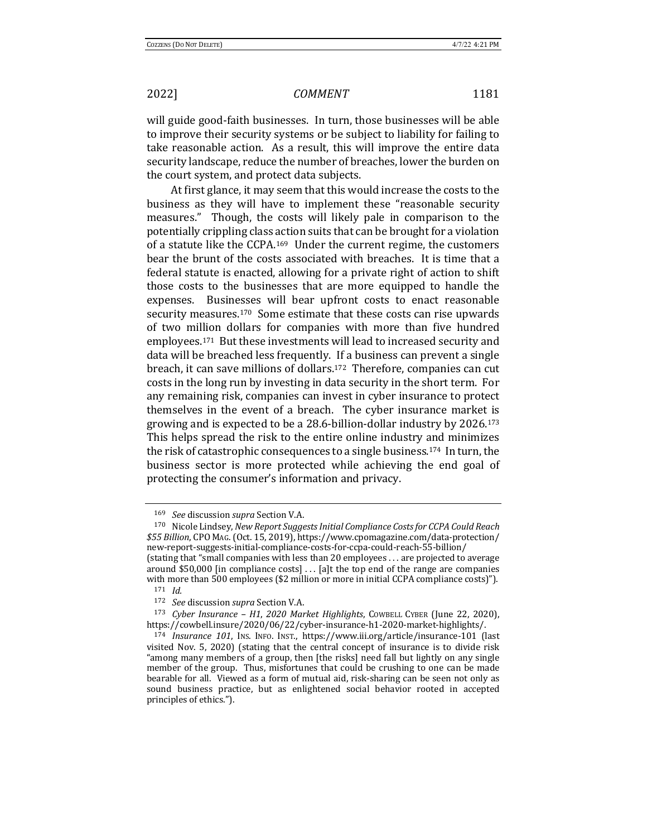will guide good-faith businesses. In turn, those businesses will be able to improve their security systems or be subject to liability for failing to take reasonable action. As a result, this will improve the entire data security landscape, reduce the number of breaches, lower the burden on the court system, and protect data subjects.

At first glance, it may seem that this would increase the costs to the business as they will have to implement these "reasonable security measures." Though, the costs will likely pale in comparison to the potentially crippling class action suits that can be brought for a violation of a statute like the CCPA.<sup>169</sup> Under the current regime, the customers bear the brunt of the costs associated with breaches. It is time that a federal statute is enacted, allowing for a private right of action to shift those costs to the businesses that are more equipped to handle the expenses. Businesses will bear upfront costs to enact reasonable security measures.<sup>170</sup> Some estimate that these costs can rise upwards of two million dollars for companies with more than five hundred employees.<sup>171</sup> But these investments will lead to increased security and data will be breached less frequently. If a business can prevent a single breach, it can save millions of dollars.<sup>172</sup> Therefore, companies can cut costs in the long run by investing in data security in the short term. For any remaining risk, companies can invest in cyber insurance to protect themselves in the event of a breach. The cyber insurance market is growing and is expected to be a 28.6-billion-dollar industry by  $2026$ .<sup>173</sup> This helps spread the risk to the entire online industry and minimizes the risk of catastrophic consequences to a single business.<sup>174</sup> In turn, the business sector is more protected while achieving the end goal of protecting the consumer's information and privacy.

<sup>169</sup> *See* discussion *supra* Section V.A.

<sup>170</sup> Nicole Lindsey, New Report Suggests Initial Compliance Costs for CCPA Could Reach *\$55 Billion*, CPO MAG. (Oct. 15, 2019), https://www.cpomagazine.com/data-protection/ new-report-suggests-initial-compliance-costs-for-ccpa-could-reach-55-billion/ (stating that "small companies with less than 20 employees . . . are projected to average around  $$50,000$  [in compliance costs]  $\ldots$  [a]t the top end of the range are companies with more than 500 employees (\$2 million or more in initial CCPA compliance costs)"). <sup>171</sup> *Id.*

<sup>172</sup> *See* discussion *supra* Section V.A.

<sup>&</sup>lt;sup>173</sup> *Cyber Insurance* – *H1, 2020 Market Highlights*, COWBELL CYBER (June 22, 2020), https://cowbell.insure/2020/06/22/cyber-insurance-h1-2020-market-highlights/. 

<sup>174</sup> *Insurance 101*, Ins. Info. Inst., https://www.iii.org/article/insurance-101 (last visited Nov.  $5$ , 2020) (stating that the central concept of insurance is to divide risk "among many members of a group, then [the risks] need fall but lightly on any single member of the group. Thus, misfortunes that could be crushing to one can be made bearable for all. Viewed as a form of mutual aid, risk-sharing can be seen not only as sound business practice, but as enlightened social behavior rooted in accepted principles of ethics.").